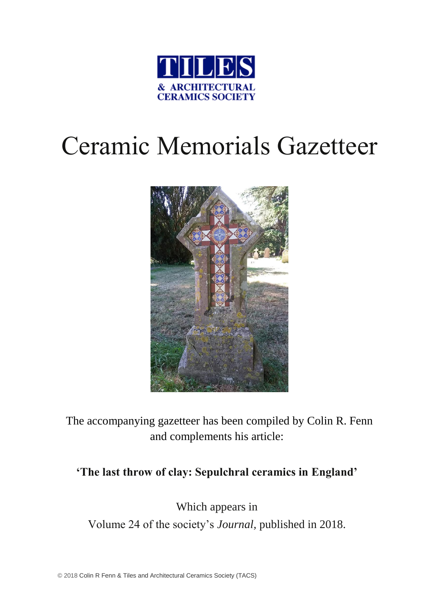

# Ceramic Memorials Gazetteer



The accompanying gazetteer has been compiled by Colin R. Fenn and complements his article:

# **'The last throw of clay: Sepulchral ceramics in England'**

Which appears in Volume 24 of the society's *Journal,* published in 2018.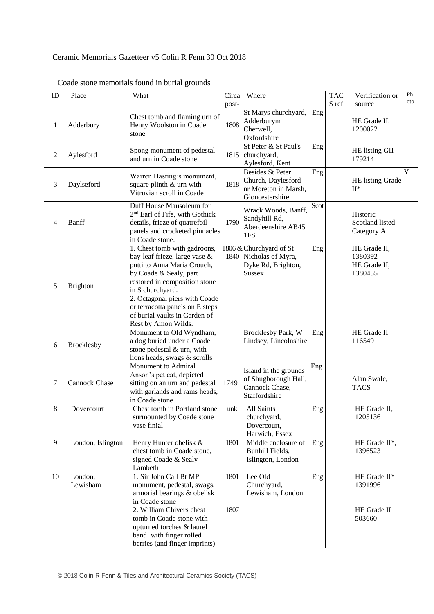### Ceramic Memorials Gazetteer v5 Colin R Fenn 30 Oct 2018

| ID             | Place                | What                                                                                                                                                                                                                                                                                                    | Circa        | Where                                                                                    |      | <b>TAC</b> | Verification or                                    | Ph  |
|----------------|----------------------|---------------------------------------------------------------------------------------------------------------------------------------------------------------------------------------------------------------------------------------------------------------------------------------------------------|--------------|------------------------------------------------------------------------------------------|------|------------|----------------------------------------------------|-----|
|                |                      |                                                                                                                                                                                                                                                                                                         | post-        |                                                                                          |      | S ref      | source                                             | oto |
| $\mathbf{1}$   | Adderbury            | Chest tomb and flaming urn of<br>Henry Woolston in Coade<br>stone                                                                                                                                                                                                                                       | 1808         | St Marys churchyard,<br>Adderburym<br>Cherwell,<br>Oxfordshire                           | Eng  |            | HE Grade II,<br>1200022                            |     |
| $\overline{2}$ | Aylesford            | Spong monument of pedestal<br>and urn in Coade stone                                                                                                                                                                                                                                                    | 1815         | St Peter & St Paul's<br>churchyard,<br>Aylesford, Kent                                   | Eng  |            | HE listing GII<br>179214                           |     |
| 3              | Daylseford           | Warren Hasting's monument,<br>square plinth & urn with<br>Vitruvian scroll in Coade                                                                                                                                                                                                                     | 1818         | <b>Besides St Peter</b><br>Church, Daylesford<br>nr Moreton in Marsh,<br>Gloucestershire | Eng  |            | HE listing Grade<br>$II^*$                         | Y   |
| 4              | Banff                | Duff House Mausoleum for<br>2 <sup>nd</sup> Earl of Fife, with Gothick<br>details, frieze of quatrefoil<br>panels and crocketed pinnacles<br>in Coade stone.                                                                                                                                            | 1790         | Wrack Woods, Banff,<br>Sandyhill Rd,<br>Aberdeenshire AB45<br>1FS                        | Scot |            | Historic<br>Scotland listed<br>Category A          |     |
| 5              | <b>Brighton</b>      | 1. Chest tomb with gadroons,<br>bay-leaf frieze, large vase &<br>putti to Anna Maria Crouch,<br>by Coade & Sealy, part<br>restored in composition stone<br>in S churchyard.<br>2. Octagonal piers with Coade<br>or terracotta panels on E steps<br>of burial vaults in Garden of<br>Rest by Amon Wilds. | 1840         | 1806 & Churchyard of St<br>Nicholas of Myra,<br>Dyke Rd, Brighton,<br><b>Sussex</b>      | Eng  |            | HE Grade II,<br>1380392<br>HE Grade II,<br>1380455 |     |
| 6              | <b>Brocklesby</b>    | Monument to Old Wyndham,<br>a dog buried under a Coade<br>stone pedestal & urn, with<br>lions heads, swags & scrolls                                                                                                                                                                                    |              | Brocklesby Park, W<br>Lindsey, Lincolnshire                                              | Eng  |            | HE Grade II<br>1165491                             |     |
| 7              | <b>Cannock Chase</b> | Monument to Admiral<br>Anson's pet cat, depicted<br>sitting on an urn and pedestal<br>with garlands and rams heads,<br>in Coade stone                                                                                                                                                                   | 1749         | Island in the grounds<br>of Shugborough Hall,<br>Cannock Chase,<br>Staffordshire         | Eng  |            | Alan Swale,<br><b>TACS</b>                         |     |
| 8              | Dovercourt           | Chest tomb in Portland stone<br>surmounted by Coade stone<br>vase finial                                                                                                                                                                                                                                | unk          | All Saints<br>churchyard,<br>Dovercourt,<br>Harwich, Essex                               | Eng  |            | HE Grade II,<br>1205136                            |     |
| 9              | London, Islington    | Henry Hunter obelisk &<br>chest tomb in Coade stone,<br>signed Coade & Sealy<br>Lambeth                                                                                                                                                                                                                 | 1801         | Middle enclosure of<br>Bunhill Fields,<br>Islington, London                              | Eng  |            | HE Grade II*,<br>1396523                           |     |
| 10             | London,<br>Lewisham  | 1. Sir John Call Bt MP<br>monument, pedestal, swags,<br>armorial bearings & obelisk<br>in Coade stone<br>2. William Chivers chest<br>tomb in Coade stone with<br>upturned torches & laurel<br>band with finger rolled<br>berries (and finger imprints)                                                  | 1801<br>1807 | Lee Old<br>Churchyard,<br>Lewisham, London                                               | Eng  |            | HE Grade II*<br>1391996<br>HE Grade II<br>503660   |     |

# Coade stone memorials found in burial grounds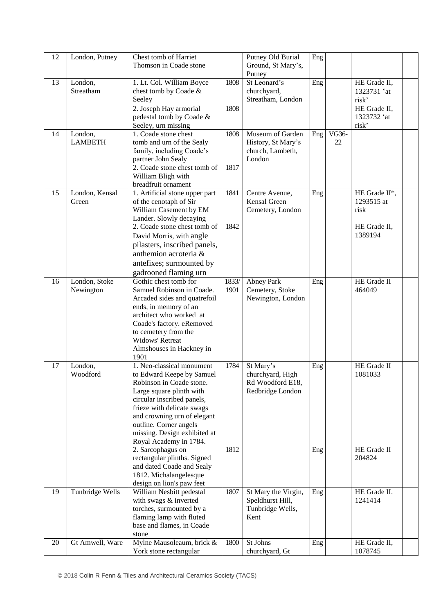| 12 | London, Putney      | Chest tomb of Harriet                                  |       | Putney Old Burial                       | Eng |       |                         |  |
|----|---------------------|--------------------------------------------------------|-------|-----------------------------------------|-----|-------|-------------------------|--|
|    |                     | Thomson in Coade stone                                 |       | Ground, St Mary's,                      |     |       |                         |  |
| 13 | London,             | 1. Lt. Col. William Boyce                              | 1808  | Putney<br>St Leonard's                  | Eng |       | HE Grade II,            |  |
|    | Streatham           | chest tomb by Coade &                                  |       | churchyard,                             |     |       | 1323731 'at             |  |
|    |                     | Seeley                                                 |       | Streatham, London                       |     |       | risk'                   |  |
|    |                     | 2. Joseph Hay armorial                                 | 1808  |                                         |     |       | HE Grade II,            |  |
|    |                     | pedestal tomb by Coade &                               |       |                                         |     |       | 1323732 'at             |  |
|    |                     | Seeley, urn missing                                    |       |                                         |     |       | risk'                   |  |
| 14 | London,             | 1. Coade stone chest                                   | 1808  | Museum of Garden                        | Eng | VG36- |                         |  |
|    | <b>LAMBETH</b>      | tomb and urn of the Sealy                              |       | History, St Mary's                      |     | 22    |                         |  |
|    |                     | family, including Coade's<br>partner John Sealy        |       | church, Lambeth,<br>London              |     |       |                         |  |
|    |                     | 2. Coade stone chest tomb of                           | 1817  |                                         |     |       |                         |  |
|    |                     | William Bligh with                                     |       |                                         |     |       |                         |  |
|    |                     | breadfruit ornament                                    |       |                                         |     |       |                         |  |
| 15 | London, Kensal      | 1. Artificial stone upper part                         | 1841  | Centre Avenue,                          | Eng |       | HE Grade II*,           |  |
|    | Green               | of the cenotaph of Sir                                 |       | Kensal Green                            |     |       | 1293515 at              |  |
|    |                     | William Casement by EM<br>Lander. Slowly decaying      |       | Cemetery, London                        |     |       | risk                    |  |
|    |                     | 2. Coade stone chest tomb of                           | 1842  |                                         |     |       | HE Grade II,            |  |
|    |                     | David Morris, with angle                               |       |                                         |     |       | 1389194                 |  |
|    |                     | pilasters, inscribed panels,                           |       |                                         |     |       |                         |  |
|    |                     | anthemion acroteria &                                  |       |                                         |     |       |                         |  |
|    |                     | antefixes; surmounted by                               |       |                                         |     |       |                         |  |
|    |                     | gadrooned flaming urn                                  |       |                                         |     |       |                         |  |
| 16 | London, Stoke       | Gothic chest tomb for                                  | 1833/ | Abney Park                              | Eng |       | HE Grade II             |  |
|    | Newington           | Samuel Robinson in Coade.                              | 1901  | Cemetery, Stoke                         |     |       | 464049                  |  |
|    |                     | Arcaded sides and quatrefoil                           |       | Newington, London                       |     |       |                         |  |
|    |                     | ends, in memory of an<br>architect who worked at       |       |                                         |     |       |                         |  |
|    |                     | Coade's factory. eRemoved                              |       |                                         |     |       |                         |  |
|    |                     | to cemetery from the                                   |       |                                         |     |       |                         |  |
|    |                     | <b>Widows' Retreat</b>                                 |       |                                         |     |       |                         |  |
|    |                     | Almshouses in Hackney in                               |       |                                         |     |       |                         |  |
|    |                     | 1901                                                   |       |                                         |     |       |                         |  |
| 17 | London,<br>Woodford | 1. Neo-classical monument                              | 1784  | St Mary's                               | Eng |       | HE Grade II<br>1081033  |  |
|    |                     | to Edward Keepe by Samuel<br>Robinson in Coade stone.  |       | churchyard, High<br>Rd Woodford E18,    |     |       |                         |  |
|    |                     | Large square plinth with                               |       | Redbridge London                        |     |       |                         |  |
|    |                     | circular inscribed panels,                             |       |                                         |     |       |                         |  |
|    |                     | frieze with delicate swags                             |       |                                         |     |       |                         |  |
|    |                     | and crowning urn of elegant                            |       |                                         |     |       |                         |  |
|    |                     | outline. Corner angels<br>missing. Design exhibited at |       |                                         |     |       |                         |  |
|    |                     | Royal Academy in 1784.                                 |       |                                         |     |       |                         |  |
|    |                     | 2. Sarcophagus on                                      | 1812  |                                         | Eng |       | HE Grade II             |  |
|    |                     | rectangular plinths. Signed                            |       |                                         |     |       | 204824                  |  |
|    |                     | and dated Coade and Sealy                              |       |                                         |     |       |                         |  |
|    |                     | 1812. Michalangelesque                                 |       |                                         |     |       |                         |  |
| 19 |                     | design on lion's paw feet                              |       |                                         |     |       | HE Grade II.            |  |
|    | Tunbridge Wells     | William Nesbitt pedestal<br>with swags & inverted      | 1807  | St Mary the Virgin,<br>Speldhurst Hill, | Eng |       | 1241414                 |  |
|    |                     | torches, surmounted by a                               |       | Tunbridge Wells,                        |     |       |                         |  |
|    |                     | flaming lamp with fluted                               |       | Kent                                    |     |       |                         |  |
|    |                     | base and flames, in Coade                              |       |                                         |     |       |                         |  |
|    |                     | stone                                                  |       |                                         |     |       |                         |  |
| 20 | Gt Amwell, Ware     | Mylne Mausoleaum, brick &<br>York stone rectangular    | 1800  | St Johns<br>churchyard, Gt              | Eng |       | HE Grade II,<br>1078745 |  |
|    |                     |                                                        |       |                                         |     |       |                         |  |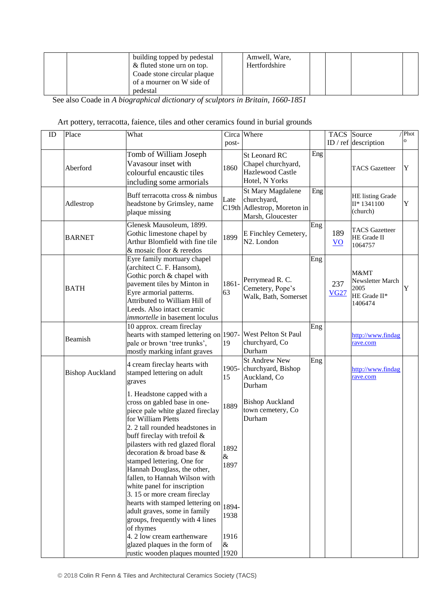|  | building topped by pedestal | Amwell, Ware, |  |  |
|--|-----------------------------|---------------|--|--|
|  | & fluted stone urn on top.  | Hertfordshire |  |  |
|  | Coade stone circular plaque |               |  |  |
|  | of a mourner on W side of   |               |  |  |
|  | pedestal                    |               |  |  |

See also Coade in *A biographical dictionary of sculptors in Britain, 1660-1851*

# Art pottery, terracotta, faience, tiles and other ceramics found in burial grounds

| ID | Place                  | What                                                                                                                                                                                                                                                                                                                                                                                                                    | post-                         | Circa Where                                                                          |     |                                  | TACS Source<br>ID / ref description                         | / Phot<br>O. |
|----|------------------------|-------------------------------------------------------------------------------------------------------------------------------------------------------------------------------------------------------------------------------------------------------------------------------------------------------------------------------------------------------------------------------------------------------------------------|-------------------------------|--------------------------------------------------------------------------------------|-----|----------------------------------|-------------------------------------------------------------|--------------|
|    | Aberford               | Tomb of William Joseph<br>Vavasour inset with<br>colourful encaustic tiles<br>including some armorials                                                                                                                                                                                                                                                                                                                  | 1860                          | <b>St Leonard RC</b><br>Chapel churchyard,<br>Hazlewood Castle<br>Hotel, N Yorks     | Eng |                                  | <b>TACS</b> Gazetteer                                       | Y            |
|    | Adlestrop              | Buff terracotta cross & nimbus<br>headstone by Grimsley, name<br>plaque missing                                                                                                                                                                                                                                                                                                                                         | Late                          | St Mary Magdalene<br>churchyard,<br>C19th Adlestrop, Moreton in<br>Marsh, Gloucester | Eng |                                  | HE listing Grade<br>II* 1341100<br>(church)                 | Y            |
|    | <b>BARNET</b>          | Glenesk Mausoleum, 1899.<br>Gothic limestone chapel by<br>Arthur Blomfield with fine tile<br>& mosaic floor & reredos                                                                                                                                                                                                                                                                                                   | 1899                          | E Finchley Cemetery,<br>N <sub>2</sub> . London                                      | Eng | 189<br>$\underline{\mathbf{VO}}$ | <b>TACS</b> Gazetteer<br>HE Grade II<br>1064757             |              |
|    | <b>BATH</b>            | Eyre family mortuary chapel<br>(architect C. F. Hansom),<br>Gothic porch & chapel with<br>pavement tiles by Minton in<br>Eyre armorial patterns.<br>Attributed to William Hill of<br>Leeds. Also intact ceramic<br>immortelle in basement loculus                                                                                                                                                                       | 1861-<br>63                   | Perrymead R. C.<br>Cemetery, Pope's<br>Walk, Bath, Somerset                          | Eng | 237<br><b>VG27</b>               | M&MT<br>Newsletter March<br>2005<br>HE Grade II*<br>1406474 | Y            |
|    | Beamish                | 10 approx. cream fireclay<br>hearts with stamped lettering on 1907-<br>pale or brown 'tree trunks',<br>mostly marking infant graves                                                                                                                                                                                                                                                                                     | 19                            | West Pelton St Paul<br>churchyard, Co<br>Durham                                      | Eng |                                  | http://www.findag<br>rave.com                               |              |
|    | <b>Bishop Auckland</b> | 4 cream fireclay hearts with<br>stamped lettering on adult<br>graves                                                                                                                                                                                                                                                                                                                                                    | 1905-<br>15                   | <b>St Andrew New</b><br>churchyard, Bishop<br>Auckland, Co<br>Durham                 | Eng |                                  | http://www.findag<br>rave.com                               |              |
|    |                        | 1. Headstone capped with a<br>cross on gabled base in one-<br>piece pale white glazed fireclay<br>for William Pletts<br>2. 2 tall rounded headstones in<br>buff fireclay with trefoil $&$<br>pilasters with red glazed floral<br>decoration & broad base &<br>stamped lettering. One for<br>Hannah Douglass, the other,<br>fallen, to Hannah Wilson with<br>white panel for inscription<br>3. 15 or more cream fireclay | 1889<br>1892<br>&<br>1897     | <b>Bishop Auckland</b><br>town cemetery, Co<br>Durham                                |     |                                  |                                                             |              |
|    |                        | hearts with stamped lettering on<br>adult graves, some in family<br>groups, frequently with 4 lines<br>of rhymes<br>4. 2 low cream earthenware<br>glazed plaques in the form of<br>rustic wooden plaques mounted 1920                                                                                                                                                                                                   | 1894-<br>1938<br>1916<br>$\&$ |                                                                                      |     |                                  |                                                             |              |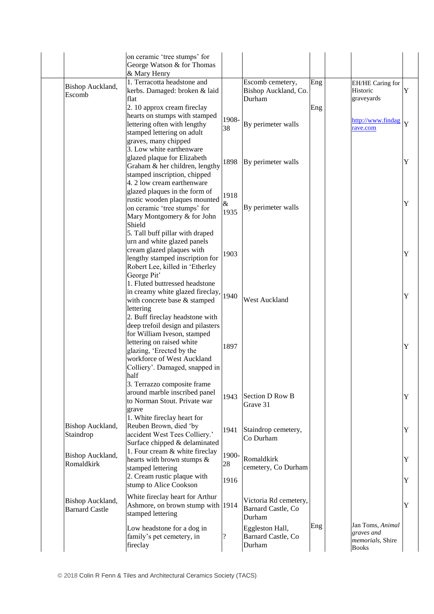|                                           | on ceramic 'tree stumps' for<br>George Watson & for Thomas<br>& Mary Henry                                                                                                                        |                     |                                                       |     |                                                                    |        |
|-------------------------------------------|---------------------------------------------------------------------------------------------------------------------------------------------------------------------------------------------------|---------------------|-------------------------------------------------------|-----|--------------------------------------------------------------------|--------|
| Bishop Auckland,<br>Escomb                | 1. Terracotta headstone and<br>kerbs. Damaged: broken & laid<br>flat<br>2. 10 approx cream fireclay                                                                                               |                     | Escomb cemetery,<br>Bishop Auckland, Co.<br>Durham    | Eng | EH/HE Caring for<br>Historic<br>graveyards                         | Y      |
|                                           | hearts on stumps with stamped<br>lettering often with lengthy<br>stamped lettering on adult<br>graves, many chipped                                                                               | 1908-<br>38         | By perimeter walls                                    | Eng | http://www.findag<br>rave.com                                      | Y      |
|                                           | 3. Low white earthenware<br>glazed plaque for Elizabeth<br>Graham & her children, lengthy<br>stamped inscription, chipped                                                                         | 1898                | By perimeter walls                                    |     |                                                                    | Y      |
|                                           | 4. 2 low cream earthenware<br>glazed plaques in the form of<br>rustic wooden plaques mounted<br>on ceramic 'tree stumps' for<br>Mary Montgomery & for John<br>Shield                              | 1918<br>&<br>1935   | By perimeter walls                                    |     |                                                                    | Y      |
|                                           | 5. Tall buff pillar with draped<br>urn and white glazed panels<br>cream glazed plaques with<br>lengthy stamped inscription for<br>Robert Lee, killed in 'Etherley<br>George Pit'                  | 1903                |                                                       |     |                                                                    | Y      |
|                                           | 1. Fluted buttressed headstone<br>in creamy white glazed fireclay,<br>with concrete base & stamped<br>lettering<br>2. Buff fireclay headstone with                                                | 1940                | West Auckland                                         |     |                                                                    | Y      |
|                                           | deep trefoil design and pilasters<br>for William Iveson, stamped<br>lettering on raised white<br>glazing, 'Erected by the<br>workforce of West Auckland<br>Colliery'. Damaged, snapped in<br>half | 1897                |                                                       |     |                                                                    | Y      |
|                                           | 3. Terrazzo composite frame<br>around marble inscribed panel<br>to Norman Stout. Private war<br>grave                                                                                             | 1943                | Section D Row B<br>Grave 31                           |     |                                                                    | Y      |
| Bishop Auckland,<br>Staindrop             | 1. White fireclay heart for<br>Reuben Brown, died 'by<br>accident West Tees Colliery.'<br>Surface chipped & delaminated                                                                           | 1941                | Staindrop cemetery,<br>Co Durham                      |     |                                                                    | Y      |
| Bishop Auckland,<br>Romaldkirk            | 1. Four cream & white fireclay<br>hearts with brown stumps &<br>stamped lettering<br>2. Cream rustic plaque with<br>stump to Alice Cookson                                                        | 1900-<br>28<br>1916 | Romaldkirk<br>cemetery, Co Durham                     |     |                                                                    | Y<br>Y |
| Bishop Auckland,<br><b>Barnard Castle</b> | White fireclay heart for Arthur<br>Ashmore, on brown stump with 1914<br>stamped lettering                                                                                                         |                     | Victoria Rd cemetery,<br>Barnard Castle, Co<br>Durham |     |                                                                    | Y      |
|                                           | Low headstone for a dog in<br>family's pet cemetery, in<br>fireclay                                                                                                                               |                     | Eggleston Hall,<br>Barnard Castle, Co<br>Durham       | Eng | Jan Toms, Animal<br>graves and<br>memorials, Shire<br><b>Books</b> |        |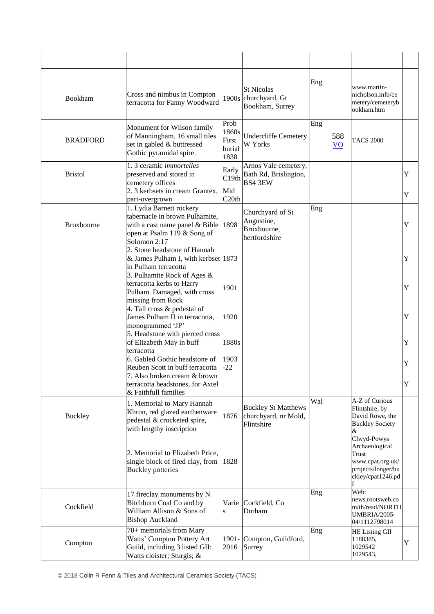| Bookham           | Cross and nimbus in Compton<br>terracotta for Fanny Woodward                                                                                                                         |                                          | <b>St Nicolas</b><br>1900s churchyard, Gt<br>Bookham, Surrey     | Eng |                        | www.martin-<br>nicholson.info/ce<br>metery/cemeteryb<br>ookham.htm                                |        |
|-------------------|--------------------------------------------------------------------------------------------------------------------------------------------------------------------------------------|------------------------------------------|------------------------------------------------------------------|-----|------------------------|---------------------------------------------------------------------------------------------------|--------|
| <b>BRADFORD</b>   | Monument for Wilson family<br>of Manningham. 16 small tiles<br>set in gabled & buttressed<br>Gothic pyramidal spire.                                                                 | Prob<br>1860s<br>First<br>burial<br>1838 | <b>Undercliffe Cemetery</b><br>W Yorks                           | Eng | 588<br>$\overline{VQ}$ | <b>TACS 2000</b>                                                                                  |        |
| <b>Bristol</b>    | 1.3 ceramic <i>immortelles</i><br>preserved and stored in<br>cemetery offices<br>2. 3 kerbsets in cream Grantex,<br>part-overgrown                                                   | Early<br>C19th<br>Mid<br>C20th           | Arnos Vale cemetery,<br>Bath Rd, Brislington,<br><b>BS4 3EW</b>  |     |                        |                                                                                                   | Y<br>Y |
| <b>Broxbourne</b> | 1. Lydia Barnett rockery<br>tabernacle in brown Pulhamite,<br>with a cast name panel $& Bible$   1898<br>open at Psalm 119 & Song of<br>Solomon 2:17<br>2. Stone headstone of Hannah |                                          | Churchyard of St<br>Augustine,<br>Broxbourne,<br>hertfordshire   | Eng |                        |                                                                                                   | Y      |
|                   | & James Pulham I, with kerbset 1873<br>in Pulham terracotta<br>3. Pulhamite Rock of Ages &<br>terracotta kerbs to Harry                                                              |                                          |                                                                  |     |                        |                                                                                                   | Y      |
|                   | Pulham. Damaged, with cross<br>missing from Rock<br>4. Tall cross & pedestal of                                                                                                      | 1901                                     |                                                                  |     |                        |                                                                                                   | Y      |
|                   | James Pulham II in terracotta,<br>monogrammed 'JP'<br>5. Headstone with pierced cross                                                                                                | 1920                                     |                                                                  |     |                        |                                                                                                   | Y      |
|                   | of Elizabeth May in buff<br>terracotta<br>6. Gabled Gothic headstone of                                                                                                              | 1880s<br>1903                            |                                                                  |     |                        |                                                                                                   | Y      |
|                   | Reuben Scott in buff terracotta<br>7. Also broken cream & brown<br>terracotta headstones, for Axtel                                                                                  | $-22$                                    |                                                                  |     |                        |                                                                                                   | Y<br>Y |
| <b>Buckley</b>    | & Faithfull families<br>1. Memorial to Mary Hannah<br>Khron, red glazed earthenware<br>pedestal & crocketed spire,<br>with lengthy inscription                                       | 1876                                     | <b>Buckley St Matthews</b><br>churchyard, nr Mold,<br>Flintshire | Wal |                        | A-Z of Curious<br>Flintshire, by<br>David Rowe, the<br><b>Buckley Society</b><br>&<br>Clwyd-Powys |        |
|                   | 2. Memorial to Elizabeth Price,<br>single block of fired clay, from $ 1828\rangle$<br><b>Buckley</b> potteries                                                                       |                                          |                                                                  |     |                        | Archaeological<br>Trust<br>www.cpat.org.uk/<br>projects/longer/bu<br>ckley/cpat1246.pd            |        |
| Cockfield         | 17 fireclay monuments by N<br>Bitchburn Coal Co and by<br>William Allison & Sons of<br><b>Bishop Auckland</b>                                                                        | S                                        | Varie Cockfield, Co<br>Durham                                    | Eng |                        | Web:<br>news.rootsweb.co<br>m/th/read/NORTH<br>UMBRIA/2005-<br>04/1112798014                      |        |
| Compton           | 70+ memorials from Mary<br>Watts' Compton Pottery Art<br>Guild, including 3 listed GII:<br>Watts cloister; Sturgis; &                                                                | $1901 -$<br>2016                         | Compton, Guildford,<br>Surrey                                    | Eng |                        | HE Listing GII<br>1188385,<br>1029542<br>1029543,                                                 | Y      |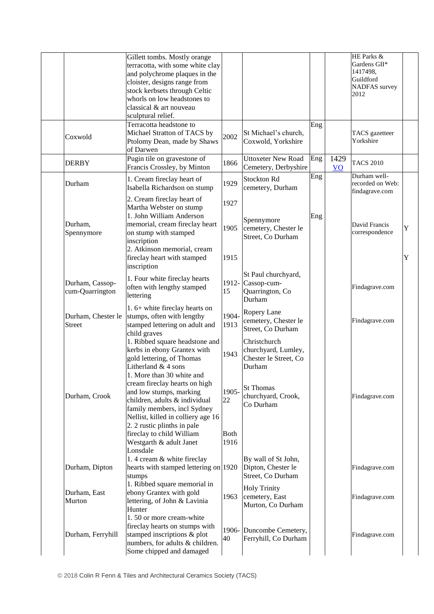|                                     | Gillett tombs. Mostly orange                                                                                                                                                                                                                                                                                                                                                                                        |                                            |                                                                                                                               |     |                          | HE Parks &                                                    |        |
|-------------------------------------|---------------------------------------------------------------------------------------------------------------------------------------------------------------------------------------------------------------------------------------------------------------------------------------------------------------------------------------------------------------------------------------------------------------------|--------------------------------------------|-------------------------------------------------------------------------------------------------------------------------------|-----|--------------------------|---------------------------------------------------------------|--------|
|                                     | terracotta, with some white clay<br>and polychrome plaques in the<br>cloister, designs range from<br>stock kerbsets through Celtic                                                                                                                                                                                                                                                                                  |                                            |                                                                                                                               |     |                          | Gardens GII*<br>1417498,<br>Guildford<br><b>NADFAS</b> survey |        |
|                                     | whorls on low headstones to<br>classical & art nouveau<br>sculptural relief.                                                                                                                                                                                                                                                                                                                                        |                                            |                                                                                                                               |     |                          | 2012                                                          |        |
| Coxwold                             | Terracotta headstone to<br>Michael Stratton of TACS by<br>Ptolomy Dean, made by Shaws<br>of Darwen                                                                                                                                                                                                                                                                                                                  | 2002                                       | St Michael's church,<br>Coxwold, Yorkshire                                                                                    | Eng |                          | TACS gazetteer<br>Yorkshire                                   |        |
| <b>DERBY</b>                        | Pugin tile on gravestone of<br>Francis Crossley, by Minton                                                                                                                                                                                                                                                                                                                                                          | 1866                                       | <b>Uttoxeter New Road</b><br>Cemetery, Derbyshire                                                                             | Eng | 1429<br>$\underline{VO}$ | <b>TACS 2010</b>                                              |        |
| Durham                              | 1. Cream fireclay heart of<br>Isabella Richardson on stump                                                                                                                                                                                                                                                                                                                                                          | 1929                                       | Stockton Rd<br>cemetery, Durham                                                                                               | Eng |                          | Durham well-<br>recorded on Web:<br>findagrave.com            |        |
| Durham,<br>Spennymore               | 2. Cream fireclay heart of<br>Martha Webster on stump<br>1. John William Anderson<br>memorial, cream fireclay heart<br>on stump with stamped<br>inscription<br>2. Atkinson memorial, cream<br>fireclay heart with stamped<br>inscription                                                                                                                                                                            | 1927<br>1905<br>1915                       | Spennymore<br>cemetery, Chester le<br>Street, Co Durham                                                                       | Eng |                          | David Francis<br>correspondence                               | Y<br>Y |
| Durham, Cassop-<br>cum-Quarrington  | 1. Four white fireclay hearts<br>often with lengthy stamped<br>lettering                                                                                                                                                                                                                                                                                                                                            | 15                                         | St Paul churchyard,<br>1912- Cassop-cum-<br>Quarrington, Co<br>Durham                                                         |     |                          | Findagrave.com                                                |        |
| Durham, Chester le<br><b>Street</b> | 1. 6+ white fireclay hearts on<br>stumps, often with lengthy<br>stamped lettering on adult and<br>child graves                                                                                                                                                                                                                                                                                                      | 1904-<br>1913                              | Ropery Lane<br>cemetery, Chester le<br>Street, Co Durham                                                                      |     |                          | Findagrave.com                                                |        |
| Durham, Crook                       | 1. Ribbed square headstone and<br>kerbs in ebony Grantex with<br>gold lettering, of Thomas<br>Litherland & 4 sons<br>1. More than 30 white and<br>cream fireclay hearts on high<br>and low stumps, marking<br>children, adults & individual<br>family members, incl Sydney<br>Nellist, killed in colliery age 16<br>2. 2 rustic plinths in pale<br>fireclay to child William<br>Westgarth & adult Janet<br>Lonsdale | 1943<br>1905-<br>22<br><b>Both</b><br>1916 | Christchurch<br>churchyard, Lumley,<br>Chester le Street, Co<br>Durham<br><b>St Thomas</b><br>churchyard, Crook,<br>Co Durham |     |                          | Findagrave.com                                                |        |
| Durham, Dipton                      | 1.4 cream & white fireclay<br>hearts with stamped lettering on 1920<br>stumps                                                                                                                                                                                                                                                                                                                                       |                                            | By wall of St John,<br>Dipton, Chester le<br>Street, Co Durham                                                                |     |                          | Findagrave.com                                                |        |
| Durham, East<br>Murton              | 1. Ribbed square memorial in<br>ebony Grantex with gold<br>lettering, of John & Lavinia<br>Hunter                                                                                                                                                                                                                                                                                                                   | 1963                                       | <b>Holy Trinity</b><br>cemetery, East<br>Murton, Co Durham                                                                    |     |                          | Findagrave.com                                                |        |
| Durham, Ferryhill                   | 1.50 or more cream-white<br>fireclay hearts on stumps with<br>stamped inscriptions & plot<br>numbers, for adults & children.<br>Some chipped and damaged                                                                                                                                                                                                                                                            | 40                                         | 1906- Duncombe Cemetery,<br>Ferryhill, Co Durham                                                                              |     |                          | Findagrave.com                                                |        |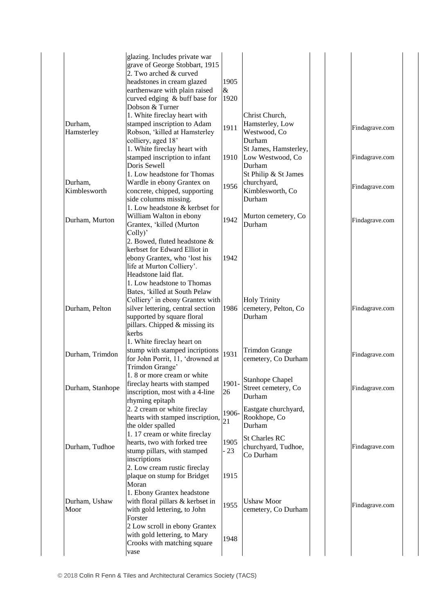|                         | glazing. Includes private war<br>grave of George Stobbart, 1915<br>2. Two arched & curved<br>headstones in cream glazed<br>earthenware with plain raised                         | 1905<br>$\&$  |                                                                   |                |
|-------------------------|----------------------------------------------------------------------------------------------------------------------------------------------------------------------------------|---------------|-------------------------------------------------------------------|----------------|
| Durham,<br>Hamsterley   | curved edging & buff base for<br>Dobson & Turner<br>1. White fireclay heart with<br>stamped inscription to Adam<br>Robson, 'killed at Hamsterley                                 | 1920<br>1911  | Christ Church,<br>Hamsterley, Low<br>Westwood, Co                 | Findagrave.com |
|                         | colliery, aged 18'<br>1. White fireclay heart with<br>stamped inscription to infant<br>Doris Sewell                                                                              | 1910          | Durham<br>St James, Hamsterley,<br>Low Westwood, Co<br>Durham     | Findagrave.com |
| Durham,<br>Kimblesworth | 1. Low headstone for Thomas<br>Wardle in ebony Grantex on<br>concrete, chipped, supporting<br>side columns missing.<br>1. Low headstone & kerbset for                            | 1956          | St Philip & St James<br>churchyard,<br>Kimblesworth, Co<br>Durham | Findagrave.com |
| Durham, Murton          | William Walton in ebony<br>Grantex, 'killed (Murton<br>Colly)'<br>2. Bowed, fluted headstone &                                                                                   | 1942          | Murton cemetery, Co<br>Durham                                     | Findagrave.com |
|                         | kerbset for Edward Elliot in<br>ebony Grantex, who 'lost his<br>life at Murton Colliery'.<br>Headstone laid flat.<br>1. Low headstone to Thomas<br>Bates, 'killed at South Pelaw | 1942          |                                                                   |                |
| Durham, Pelton          | Colliery' in ebony Grantex with<br>silver lettering, central section<br>supported by square floral<br>pillars. Chipped & missing its<br>kerbs                                    | 1986          | <b>Holy Trinity</b><br>cemetery, Pelton, Co<br>Durham             | Findagrave.com |
| Durham, Trimdon         | 1. White fireclay heart on<br>stump with stamped incriptions<br>for John Porrit, 11, 'drowned at<br>Trimdon Grange'                                                              | 1931          | <b>Trimdon Grange</b><br>cemetery, Co Durham                      | Findagrave.com |
| Durham, Stanhope        | 1.8 or more cream or white<br>fireclay hearts with stamped<br>inscription, most with a 4-line<br>rhyming epitaph                                                                 | 1901-<br>26   | <b>Stanhope Chapel</b><br>Street cemetery, Co<br>Durham           | Findagrave.com |
|                         | 2. 2 cream or white fireclay<br>hearts with stamped inscription,<br>the older spalled<br>1.17 cream or white fireclay                                                            | 1906-<br>21   | Eastgate churchyard,<br>Rookhope, Co<br>Durham                    |                |
| Durham, Tudhoe          | hearts, two with forked tree<br>stump pillars, with stamped<br>inscriptions                                                                                                      | 1905<br>$-23$ | <b>St Charles RC</b><br>churchyard, Tudhoe,<br>Co Durham          | Findagrave.com |
|                         | 2. Low cream rustic fireclay<br>plaque on stump for Bridget<br>Moran<br>1. Ebony Grantex headstone                                                                               | 1915          |                                                                   |                |
| Durham, Ushaw<br>Moor   | with floral pillars & kerbset in<br>with gold lettering, to John<br>Forster                                                                                                      | 1955          | <b>Ushaw Moor</b><br>cemetery, Co Durham                          | Findagrave.com |
|                         | 2 Low scroll in ebony Grantex<br>with gold lettering, to Mary<br>Crooks with matching square<br>vase                                                                             | 1948          |                                                                   |                |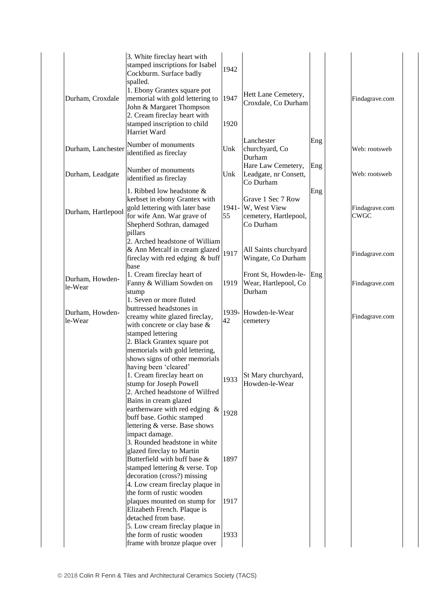|                            | 3. White fireclay heart with<br>stamped inscriptions for Isabel<br>Cockburm. Surface badly<br>spalled.                        | 1942        |                                                            |     |                               |
|----------------------------|-------------------------------------------------------------------------------------------------------------------------------|-------------|------------------------------------------------------------|-----|-------------------------------|
| Durham, Croxdale           | 1. Ebony Grantex square pot<br>memorial with gold lettering to<br>John & Margaret Thompson<br>2. Cream fireclay heart with    | 1947        | Hett Lane Cemetery,<br>Croxdale, Co Durham                 |     | Findagrave.com                |
|                            | stamped inscription to child<br>Harriet Ward                                                                                  | 1920        |                                                            |     |                               |
| Durham, Lanchester         | Number of monuments<br>identified as fireclay                                                                                 | Unk         | Lanchester<br>churchyard, Co<br>Durham                     | Eng | Web: rootsweb                 |
| Durham, Leadgate           | Number of monuments<br>identified as fireclay                                                                                 | Unk         | Hare Law Cemetery,<br>Leadgate, nr Consett,<br>Co Durham   | Eng | Web: rootsweb                 |
| Durham, Hartlepool         | 1. Ribbed low headstone &<br>kerbset in ebony Grantex with<br>gold lettering with later base<br>for wife Ann. War grave of    | 1941-<br>55 | Grave 1 Sec 7 Row<br>W, West View<br>cemetery, Hartlepool, | Eng | Findagrave.com<br><b>CWGC</b> |
|                            | Shepherd Sothran, damaged<br>pillars<br>2. Arched headstone of William                                                        |             | Co Durham                                                  |     |                               |
|                            | & Ann Metcalf in cream glazed<br>fireclay with red edging & buff<br>base                                                      | 1917        | All Saints churchyard<br>Wingate, Co Durham                |     | Findagrave.com                |
| Durham, Howden-<br>le-Wear | 1. Cream fireclay heart of<br>Fanny & William Sowden on<br>stump<br>1. Seven or more fluted                                   | 1919        | Front St, Howden-le-<br>Wear, Hartlepool, Co<br>Durham     | Eng | Findagrave.com                |
| Durham, Howden-<br>le-Wear | buttressed headstones in<br>creamy white glazed fireclay,<br>with concrete or clay base &<br>stamped lettering                | 1939-<br>42 | Howden-le-Wear<br>cemetery                                 |     | Findagrave.com                |
|                            | 2. Black Grantex square pot<br>memorials with gold lettering,<br>shows signs of other memorials<br>having been 'cleared'      |             |                                                            |     |                               |
|                            | 1. Cream fireclay heart on<br>stump for Joseph Powell<br>2. Arched headstone of Wilfred                                       |             | $\vert$ 1933 $\vert$ St Mary churchyard,<br>Howden-le-Wear |     |                               |
|                            | Bains in cream glazed<br>earthenware with red edging &<br>buff base. Gothic stamped<br>lettering & verse. Base shows          | 1928        |                                                            |     |                               |
|                            | impact damage.<br>3. Rounded headstone in white<br>glazed fireclay to Martin<br>Butterfield with buff base &                  | 1897        |                                                            |     |                               |
|                            | stamped lettering & verse. Top<br>decoration (cross?) missing<br>4. Low cream fireclay plaque in<br>the form of rustic wooden |             |                                                            |     |                               |
|                            | plaques mounted on stump for<br>Elizabeth French. Plaque is<br>detached from base.                                            | 1917        |                                                            |     |                               |
|                            | 5. Low cream fireclay plaque in<br>the form of rustic wooden<br>frame with bronze plaque over                                 | 1933        |                                                            |     |                               |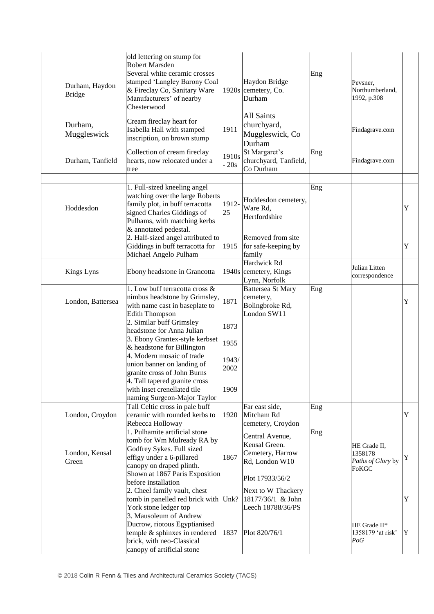| Durham, Haydon<br><b>Bridge</b> | old lettering on stump for<br>Robert Marsden<br>Several white ceramic crosses<br>stamped 'Langley Barony Coal<br>& Fireclay Co, Sanitary Ware<br>Manufacturers' of nearby<br>Chesterwood  |               | Haydon Bridge<br>1920s cemetery, Co.<br>Durham                                  | Eng | Peysner,<br>Northumberland,<br>1992, p.308                   |   |
|---------------------------------|-------------------------------------------------------------------------------------------------------------------------------------------------------------------------------------------|---------------|---------------------------------------------------------------------------------|-----|--------------------------------------------------------------|---|
| Durham,<br>Muggleswick          | Cream fireclay heart for<br>Isabella Hall with stamped<br>inscription, on brown stump                                                                                                     | 1911          | All Saints<br>churchyard,<br>Muggleswick, Co<br>Durham                          |     | Findagrave.com                                               |   |
| Durham, Tanfield                | Collection of cream fireclay<br>hearts, now relocated under a<br>tree                                                                                                                     | 1910s<br>20s  | St Margaret's<br>churchyard, Tanfield,<br>Co Durham                             | Eng | Findagrave.com                                               |   |
|                                 |                                                                                                                                                                                           |               |                                                                                 |     |                                                              |   |
| Hoddesdon                       | 1. Full-sized kneeling angel<br>watching over the large Roberts<br>family plot, in buff terracotta<br>signed Charles Giddings of<br>Pulhams, with matching kerbs<br>& annotated pedestal. | 1912-<br>25   | Hoddesdon cemetery,<br>Ware Rd,<br>Hertfordshire                                | Eng |                                                              | Y |
|                                 | 2. Half-sized angel attributed to<br>Giddings in buff terracotta for<br>Michael Angelo Pulham                                                                                             | 1915          | Removed from site<br>for safe-keeping by<br>family                              |     |                                                              | Y |
| <b>Kings Lyns</b>               | Ebony headstone in Grancotta                                                                                                                                                              |               | Hardwick Rd<br>1940s cemetery, Kings<br>Lynn, Norfolk                           |     | Julian Litten<br>correspondence                              |   |
| London, Battersea               | 1. Low buff terracotta cross &<br>nimbus headstone by Grimsley,<br>with name cast in baseplate to<br><b>Edith Thompson</b>                                                                | 1871          | Battersea St Mary<br>cemetery,<br>Bolingbroke Rd,<br>London SW11                | Eng |                                                              | Y |
|                                 | 2. Similar buff Grimsley<br>headstone for Anna Julian<br>3. Ebony Grantex-style kerbset                                                                                                   | 1873          |                                                                                 |     |                                                              |   |
|                                 | & headstone for Billington<br>4. Modern mosaic of trade                                                                                                                                   | 1955          |                                                                                 |     |                                                              |   |
|                                 | union banner on landing of<br>granite cross of John Burns                                                                                                                                 | 1943/<br>2002 |                                                                                 |     |                                                              |   |
|                                 | 4. Tall tapered granite cross<br>with inset crenellated tile<br>naming Surgeon-Major Taylor                                                                                               | 1909          |                                                                                 |     |                                                              |   |
| London, Croydon                 | Tall Celtic cross in pale buff<br>ceramic with rounded kerbs to<br>Rebecca Holloway                                                                                                       | 1920          | Far east side,<br>Mitcham Rd<br>cemetery, Croydon                               | Eng |                                                              | Y |
| London, Kensal<br>Green         | 1. Pulhamite artificial stone<br>tomb for Wm Mulready RA by<br>Godfrey Sykes. Full sized<br>effigy under a 6-pillared<br>canopy on draped plinth.<br>Shown at 1867 Paris Exposition       | 1867          | Central Avenue,<br>Kensal Green.<br>Cemetery, Harrow<br>Rd, London W10          | Eng | HE Grade II,<br>1358178<br>Paths of Glory by<br><b>FoKGC</b> | Y |
|                                 | before installation<br>2. Cheel family vault, chest<br>tomb in panelled red brick with Unk?<br>York stone ledger top<br>3. Mausoleum of Andrew                                            |               | Plot 17933/56/2<br>Next to W Thackery<br>18177/36/1 & John<br>Leech 18788/36/PS |     |                                                              | Y |
|                                 | Ducrow, riotous Egyptianised<br>temple & sphinxes in rendered<br>brick, with neo-Classical<br>canopy of artificial stone                                                                  | 1837          | Plot 820/76/1                                                                   |     | HE Grade II*<br>1358179 'at risk'<br>PoG                     | Y |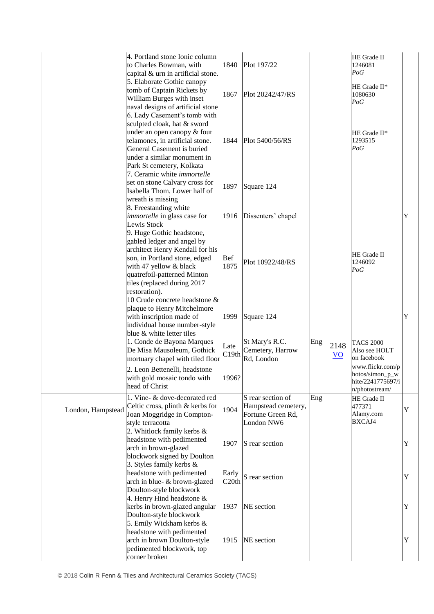|                   | 4. Portland stone Ionic column<br>to Charles Bowman, with<br>capital & urn in artificial stone.                                                                                         | 1840               | Plot 197/22                                                                 |     |                         | HE Grade II<br>1246081<br>PoG                                              |   |
|-------------------|-----------------------------------------------------------------------------------------------------------------------------------------------------------------------------------------|--------------------|-----------------------------------------------------------------------------|-----|-------------------------|----------------------------------------------------------------------------|---|
|                   | 5. Elaborate Gothic canopy<br>tomb of Captain Rickets by<br>William Burges with inset<br>naval designs of artificial stone<br>6. Lady Casement's tomb with                              | 1867               | Plot 20242/47/RS                                                            |     |                         | HE Grade II*<br>1080630<br>PoG                                             |   |
|                   | sculpted cloak, hat & sword<br>under an open canopy & four<br>telamones, in artificial stone.<br>General Casement is buried<br>under a similar monument in<br>Park St cemetery, Kolkata | 1844               | Plot 5400/56/RS                                                             |     |                         | HE Grade II*<br>1293515<br>PoG                                             |   |
|                   | 7. Ceramic white immortelle<br>set on stone Calvary cross for<br>Isabella Thom. Lower half of<br>wreath is missing                                                                      | 1897               | Square 124                                                                  |     |                         |                                                                            |   |
|                   | 8. Freestanding white<br>immortelle in glass case for<br>Lewis Stock<br>9. Huge Gothic headstone,<br>gabled ledger and angel by                                                         | 1916               | Dissenters' chapel                                                          |     |                         |                                                                            | Y |
|                   | architect Henry Kendall for his<br>son, in Portland stone, edged<br>with 47 yellow & black<br>quatrefoil-patterned Minton<br>tiles (replaced during 2017<br>restoration).               | <b>Bef</b><br>1875 | Plot 10922/48/RS                                                            |     |                         | HE Grade II<br>1246092<br>PoG                                              |   |
|                   | 10 Crude concrete headstone &<br>plaque to Henry Mitchelmore<br>with inscription made of<br>individual house number-style<br>blue & white letter tiles                                  | 1999               | Square 124                                                                  |     |                         |                                                                            | Y |
|                   | 1. Conde de Bayona Marques<br>De Misa Mausoleum, Gothick<br>mortuary chapel with tiled floor                                                                                            | Late<br>C19th      | St Mary's R.C.<br>Cemetery, Harrow<br>Rd, London                            | Eng | 2148<br>$\overline{VQ}$ | <b>TACS 2000</b><br>Also see HOLT<br>on facebook                           |   |
|                   | 2. Leon Bettenelli, headstone<br>with gold mosaic tondo with<br>head of Christ                                                                                                          | 1996?              |                                                                             |     |                         | www.flickr.com/p<br>hotos/simon_p_w<br>hite/2241775697/i<br>n/photostream/ |   |
| London, Hampstead | 1. Vine- & dove-decorated red<br>Celtic cross, plinth & kerbs for<br>Joan Moggridge in Compton-<br>style terracotta<br>2. Whitlock family kerbs &                                       | 1904               | S rear section of<br>Hampstead cemetery,<br>Fortune Green Rd,<br>London NW6 | Eng |                         | HE Grade II<br>477371<br>Alamy.com<br>BXCAJ4                               | Y |
|                   | headstone with pedimented<br>arch in brown-glazed<br>blockwork signed by Doulton                                                                                                        | 1907               | S rear section                                                              |     |                         |                                                                            | Y |
|                   | 3. Styles family kerbs $\&$<br>headstone with pedimented<br>arch in blue- & brown-glazed<br>Doulton-style blockwork                                                                     | Early<br>C20th     | S rear section                                                              |     |                         |                                                                            | Y |
|                   | 4. Henry Hind headstone $&$<br>kerbs in brown-glazed angular<br>Doulton-style blockwork<br>5. Emily Wickham kerbs &                                                                     | 1937               | NE section                                                                  |     |                         |                                                                            | Y |
|                   | headstone with pedimented<br>arch in brown Doulton-style<br>pedimented blockwork, top<br>corner broken                                                                                  | 1915               | NE section                                                                  |     |                         |                                                                            | Y |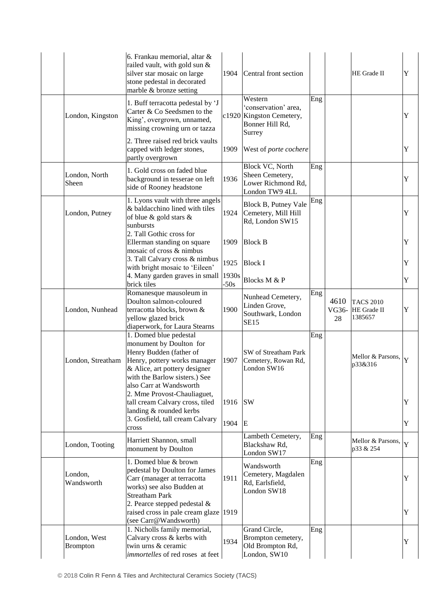|                                 | 6. Frankau memorial, altar &<br>railed vault, with gold sun &<br>silver star mosaic on large<br>stone pedestal in decorated<br>marble & bronze setting                                                    | 1904            | Central front section                                                                    |     |                     | HE Grade II                                | Y           |
|---------------------------------|-----------------------------------------------------------------------------------------------------------------------------------------------------------------------------------------------------------|-----------------|------------------------------------------------------------------------------------------|-----|---------------------|--------------------------------------------|-------------|
| London, Kingston                | 1. Buff terracotta pedestal by 'J<br>Carter & Co Seedsmen to the<br>King', overgrown, unnamed,<br>missing crowning urn or tazza                                                                           |                 | Western<br>'conservation' area,<br>c1920 Kingston Cemetery,<br>Bonner Hill Rd,<br>Surrey | Eng |                     |                                            | Y           |
|                                 | 2. Three raised red brick vaults<br>capped with ledger stones,<br>partly overgrown                                                                                                                        | 1909            | West of porte cochere                                                                    |     |                     |                                            | Y           |
| London, North<br>Sheen          | 1. Gold cross on faded blue<br>background in tesserae on left<br>side of Rooney headstone                                                                                                                 | 1936            | Block VC, North<br>Sheen Cemetery,<br>Lower Richmond Rd,<br>London TW9 4LL               | Eng |                     |                                            | Y           |
| London, Putney                  | 1. Lyons vault with three angels<br>& baldacchino lined with tiles<br>of blue & gold stars &<br>sunbursts                                                                                                 | 1924            | Block B, Putney Vale<br>Cemetery, Mill Hill<br>Rd, London SW15                           | Eng |                     |                                            | $\mathbf Y$ |
|                                 | 2. Tall Gothic cross for<br>Ellerman standing on square<br>mosaic of cross & nimbus                                                                                                                       | 1909            | <b>Block B</b>                                                                           |     |                     |                                            | Y           |
|                                 | 3. Tall Calvary cross & nimbus<br>with bright mosaic to 'Eileen'                                                                                                                                          | 1925            | <b>Block I</b>                                                                           |     |                     |                                            | Y           |
|                                 | 4. Many garden graves in small<br>brick tiles                                                                                                                                                             | 1930s<br>$-50s$ | Blocks M & P                                                                             |     |                     |                                            | Y           |
| London, Nunhead                 | Romanesque mausoleum in<br>Doulton salmon-coloured<br>terracotta blocks, brown &<br>yellow glazed brick<br>diaperwork, for Laura Stearns                                                                  | 1900            | Nunhead Cemetery,<br>Linden Grove,<br>Southwark, London<br><b>SE15</b>                   | Eng | 4610<br>VG36-<br>28 | <b>TACS 2010</b><br>HE Grade II<br>1385657 | Y           |
| London, Streatham               | 1. Domed blue pedestal<br>monument by Doulton for<br>Henry Budden (father of<br>Henry, pottery works manager<br>& Alice, art pottery designer<br>with the Barlow sisters.) See<br>also Carr at Wandsworth | 1907            | SW of Streatham Park<br>Cemetery, Rowan Rd,<br>London SW16                               | Eng |                     | Mellor & Parsons,<br>p33&316               | Y           |
|                                 | 2. Mme Provost-Chauliaguet,<br>tall cream Calvary cross, tiled<br>landing & rounded kerbs<br>3. Gosfield, tall cream Calvary                                                                              | 1916<br>1904 E  | <b>SW</b>                                                                                |     |                     |                                            | Y<br>Y      |
| London, Tooting                 | cross<br>Harriett Shannon, small<br>monument by Doulton                                                                                                                                                   |                 | Lambeth Cemetery,<br>Blackshaw Rd,<br>London SW17                                        | Eng |                     | Mellor & Parsons,<br>p33 & 254             | Y           |
| London,<br>Wandsworth           | 1. Domed blue & brown<br>pedestal by Doulton for James<br>Carr (manager at terracotta<br>works) see also Budden at<br><b>Streatham Park</b><br>2. Pearce stepped pedestal $&$                             | 1911            | Wandsworth<br>Cemetery, Magdalen<br>Rd, Earlsfield,<br>London SW18                       | Eng |                     |                                            | Y           |
|                                 | raised cross in pale cream glaze<br>(see Carr@Wandsworth)                                                                                                                                                 | 1919            |                                                                                          |     |                     |                                            | Y           |
| London, West<br><b>Brompton</b> | 1. Nicholls family memorial,<br>Calvary cross & kerbs with<br>twin urns & ceramic<br>immortelles of red roses at feet                                                                                     | 1934            | Grand Circle,<br>Brompton cemetery,<br>Old Brompton Rd,<br>London, SW10                  | Eng |                     |                                            | Y           |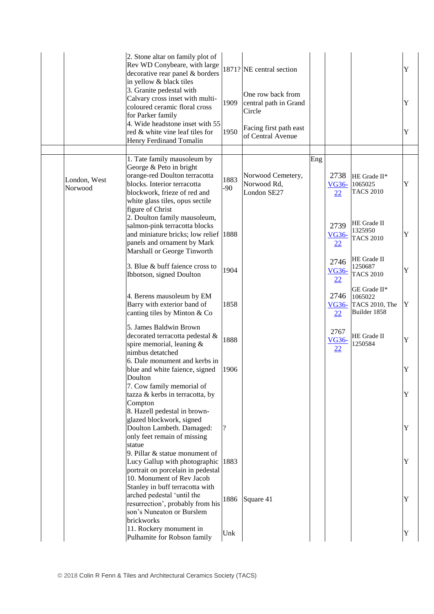|                         | 2. Stone altar on family plot of<br>Rev WD Conybeare, with large<br>decorative rear panel & borders<br>in yellow & black tiles<br>3. Granite pedestal with<br>Calvary cross inset with multi-<br>coloured ceramic floral cross<br>for Parker family<br>4. Wide headstone inset with 55<br>red & white vine leaf tiles for | 1909<br>1950       | 1871? NE central section<br>One row back from<br>central path in Grand<br>Circle<br>Facing first path east<br>of Central Avenue |     |                            |                                                           | Y<br>Y<br>Y |
|-------------------------|---------------------------------------------------------------------------------------------------------------------------------------------------------------------------------------------------------------------------------------------------------------------------------------------------------------------------|--------------------|---------------------------------------------------------------------------------------------------------------------------------|-----|----------------------------|-----------------------------------------------------------|-------------|
|                         | Henry Ferdinand Tomalin                                                                                                                                                                                                                                                                                                   |                    |                                                                                                                                 |     |                            |                                                           |             |
| London, West<br>Norwood | 1. Tate family mausoleum by<br>George & Peto in bright<br>orange-red Doulton terracotta<br>blocks. Interior terracotta<br>blockwork, frieze of red and<br>white glass tiles, opus sectile<br>figure of Christ                                                                                                             | 1883<br>$-90$      | Norwood Cemetery,<br>Norwood Rd,<br>London SE27                                                                                 | Eng | 2738<br><b>VG36-</b><br>22 | HE Grade II*<br>1065025<br><b>TACS 2010</b>               | Y           |
|                         | 2. Doulton family mausoleum,<br>salmon-pink terracotta blocks<br>and miniature bricks; low relief 1888<br>panels and ornament by Mark<br>Marshall or George Tinworth                                                                                                                                                      |                    |                                                                                                                                 |     | 2739<br><b>VG36-</b><br>22 | HE Grade II<br>1325950<br><b>TACS 2010</b>                | Y           |
|                         | 3. Blue & buff faience cross to<br>Ibbotson, signed Doulton                                                                                                                                                                                                                                                               | 1904               |                                                                                                                                 |     | 2746<br><b>VG36-</b><br>22 | HE Grade II<br>1250687<br><b>TACS 2010</b>                | Y           |
|                         | 4. Berens mausoleum by EM<br>Barry with exterior band of<br>canting tiles by Minton & Co                                                                                                                                                                                                                                  | 1858               |                                                                                                                                 |     | 2746<br><b>VG36-</b><br>22 | GE Grade II*<br>1065022<br>TACS 2010, The<br>Builder 1858 | Y           |
|                         | 5. James Baldwin Brown<br>decorated terracotta pedestal &<br>spire memorial, leaning &<br>nimbus detatched                                                                                                                                                                                                                | 1888               |                                                                                                                                 |     | 2767<br><u>VG36-</u><br>22 | HE Grade II<br>1250584                                    | Y           |
|                         | 6. Dale monument and kerbs in<br>blue and white faience, signed<br>Doulton                                                                                                                                                                                                                                                | 1906               |                                                                                                                                 |     |                            |                                                           | Y           |
|                         | 7. Cow family memorial of<br>tazza & kerbs in terracotta, by<br>Compton                                                                                                                                                                                                                                                   |                    |                                                                                                                                 |     |                            |                                                           | Y           |
|                         | 8. Hazell pedestal in brown-<br>glazed blockwork, signed<br>Doulton Lambeth. Damaged:<br>only feet remain of missing<br>statue                                                                                                                                                                                            | $\overline{\cdot}$ |                                                                                                                                 |     |                            |                                                           | Y           |
|                         | 9. Pillar $&$ statue monument of<br>Lucy Gallup with photographic 1883<br>portrait on porcelain in pedestal<br>10. Monument of Rev Jacob<br>Stanley in buff terracotta with                                                                                                                                               |                    |                                                                                                                                 |     |                            |                                                           | Y           |
|                         | arched pedestal 'until the<br>resurrection', probably from his<br>son's Nuneaton or Burslem<br>brickworks                                                                                                                                                                                                                 | 1886               | Square 41                                                                                                                       |     |                            |                                                           | Y           |
|                         | 11. Rockery monument in<br>Pulhamite for Robson family                                                                                                                                                                                                                                                                    | Unk                |                                                                                                                                 |     |                            |                                                           | Y           |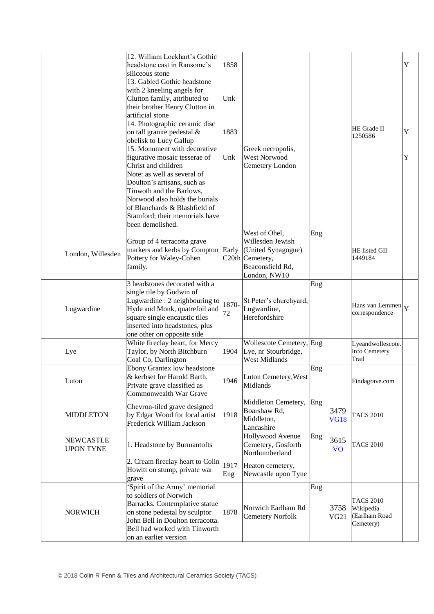|                                      | 12. William Lockhart's Gothic<br>headstone cast in Ransome's<br>siliceous stone<br>13. Gabled Gothic headstone<br>with 2 kneeling angels for<br>Clutton family, attributed to<br>their brother Henry Clutton in<br>artificial stone<br>14. Photographic ceramic disc<br>on tall granite pedestal &<br>obelisk to Lucy Gallup<br>15. Monument with decorative<br>figurative mosaic tesserae of<br>Christ and children<br>Note: as well as several of<br>Doulton's artisans, such as<br>Tinwoth and the Barlows,<br>Norwood also holds the burials<br>of Blanchards & Blashfield of<br>Stamford; their memorials have<br>been demolished. | 1858<br>Unk<br>1883<br>Unk | Greek necropolis,<br>West Norwood<br>Cemetery London                                                           |     |                         | HE Grade II<br>1250586                                      | Y<br>Y<br>Y |
|--------------------------------------|-----------------------------------------------------------------------------------------------------------------------------------------------------------------------------------------------------------------------------------------------------------------------------------------------------------------------------------------------------------------------------------------------------------------------------------------------------------------------------------------------------------------------------------------------------------------------------------------------------------------------------------------|----------------------------|----------------------------------------------------------------------------------------------------------------|-----|-------------------------|-------------------------------------------------------------|-------------|
| London, Willesden                    | Group of 4 terracotta grave<br>markers and kerbs by Compton<br>Pottery for Waley-Cohen<br>family.                                                                                                                                                                                                                                                                                                                                                                                                                                                                                                                                       | Early                      | West of Ohel,<br>Willesden Jewish<br>(United Synagogue)<br>C20th Cemetery,<br>Beaconsfield Rd,<br>London, NW10 | Eng |                         | HE listed GII<br>1449184                                    |             |
| Lugwardine                           | 3 headstones decorated with a<br>single tile by Godwin of<br>Lugwardine : 2 neighbouring to<br>Hyde and Monk, quatrefoil and<br>square single encaustic tiles<br>inserted into headstones, plus<br>one other on opposite side                                                                                                                                                                                                                                                                                                                                                                                                           | 1870-<br>72                | St Peter's churchyard,<br>Lugwardine,<br>Herefordshire                                                         | Eng |                         | Hans van Lemmen $ Y $<br>correspondence                     |             |
| Lye                                  | White fireclay heart, for Mercy<br>Taylor, by North Bitchburn<br>Coal Co, Darlington                                                                                                                                                                                                                                                                                                                                                                                                                                                                                                                                                    | 1904                       | Wollescote Cemetery, Eng<br>Lye, nr Stourbridge,<br><b>West Midlands</b>                                       |     |                         | Lyeandwollescote.<br>info Cemetery<br>Trail                 |             |
| Luton                                | Ebony Grantex low headstone<br>& kerbset for Harold Barth.<br>Private grave classified as<br>Commonwealth War Grave                                                                                                                                                                                                                                                                                                                                                                                                                                                                                                                     | 1946                       | Luton Cemetery, West<br>Midlands                                                                               | Eng |                         | Findagrave.com                                              |             |
| <b>MIDDLETON</b>                     | Chevron-tiled grave designed<br>by Edgar Wood for local artist<br>Frederick William Jackson                                                                                                                                                                                                                                                                                                                                                                                                                                                                                                                                             | 1918                       | Middleton Cemetery,<br>Boarshaw Rd,<br>Middleton,<br>Lancashire                                                | Eng | 3479<br><b>VG18</b>     | <b>TACS 2010</b>                                            |             |
| <b>NEWCASTLE</b><br><b>UPON TYNE</b> | 1. Headstone by Burmantofts                                                                                                                                                                                                                                                                                                                                                                                                                                                                                                                                                                                                             |                            | Hollywood Avenue<br>Cemetery, Gosforth<br>Northumberland                                                       | Eng | 3615<br>$\overline{VQ}$ | <b>TACS 2010</b>                                            |             |
|                                      | 2. Cream fireclay heart to Colin<br>Howitt on stump, private war<br>grave                                                                                                                                                                                                                                                                                                                                                                                                                                                                                                                                                               | 1917<br>Eng                | Heaton cemetery,<br>Newcastle upon Tyne                                                                        |     |                         |                                                             |             |
| <b>NORWICH</b>                       | Spirit of the Army' memorial<br>to soldiers of Norwich<br>Barracks. Contemplative statue<br>on stone pedestal by sculptor<br>John Bell in Doulton terracotta.<br>Bell had worked with Tinworth<br>on an earlier version                                                                                                                                                                                                                                                                                                                                                                                                                 | 1878                       | Norwich Earlham Rd<br><b>Cemetery Norfolk</b>                                                                  | Eng | 3758<br>VG21            | <b>TACS 2010</b><br>Wikipedia<br>(Earlham Road<br>Cemetery) |             |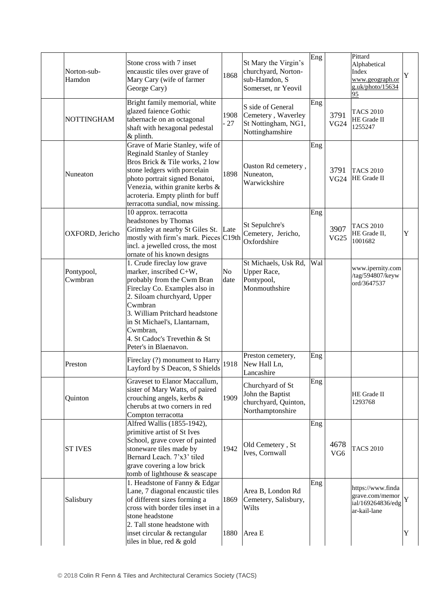| Norton-sub-<br>Hamdon | Stone cross with 7 inset<br>encaustic tiles over grave of<br>Mary Cary (wife of farmer<br>George Cary)                                                                                                                                                                                                | 1868          | St Mary the Virgin's<br>churchyard, Norton-<br>sub-Hamdon, S<br>Somerset, nr Yeovil | Eng |                          | Pittard<br>Alphabetical<br>Index<br>www.geograph.or<br>g.uk/photo/15634<br>95 | Y      |
|-----------------------|-------------------------------------------------------------------------------------------------------------------------------------------------------------------------------------------------------------------------------------------------------------------------------------------------------|---------------|-------------------------------------------------------------------------------------|-----|--------------------------|-------------------------------------------------------------------------------|--------|
| <b>NOTTINGHAM</b>     | Bright family memorial, white<br>glazed faience Gothic<br>tabernacle on an octagonal<br>shaft with hexagonal pedestal<br>& plinth.                                                                                                                                                                    | 1908<br>$-27$ | S side of General<br>Cemetery, Waverley<br>St Nottingham, NG1,<br>Nottinghamshire   | Eng | 3791<br>VG <sub>24</sub> | <b>TACS 2010</b><br>HE Grade II<br>1255247                                    |        |
| Nuneaton              | Grave of Marie Stanley, wife of<br><b>Reginald Stanley of Stanley</b><br>Bros Brick & Tile works, 2 low<br>stone ledgers with porcelain<br>photo portrait signed Bonatoi,<br>Venezia, within granite kerbs &<br>acroteria. Empty plinth for buff<br>terracotta sundial, now missing.                  | 1898          | Oaston Rd cemetery,<br>Nuneaton,<br>Warwickshire                                    | Eng | 3791<br><b>VG24</b>      | <b>TACS 2010</b><br>HE Grade II                                               |        |
| OXFORD, Jericho       | 10 approx. terracotta<br>headstones by Thomas<br>Grimsley at nearby St Giles St. Late<br>mostly with firm's mark. Pieces C19th<br>incl. a jewelled cross, the most<br>ornate of his known designs                                                                                                     |               | St Sepulchre's<br>Cemetery, Jericho,<br>Oxfordshire                                 | Eng | 3907<br><b>VG25</b>      | <b>TACS 2010</b><br>HE Grade II,<br>1001682                                   | Y      |
| Pontypool,<br>Cwmbran | 1. Crude fireclay low grave<br>marker, inscribed C+W,<br>probably from the Cwm Bran<br>Fireclay Co. Examples also in<br>2. Siloam churchyard, Upper<br>Cwmbran<br>3. William Pritchard headstone<br>in St Michael's, Llantarnam,<br>Cwmbran,<br>4. St Cadoc's Trevethin & St<br>Peter's in Blaenavon. | No<br>date    | St Michaels, Usk Rd,<br>Upper Race,<br>Pontypool,<br>Monmouthshire                  | Wal |                          | www.ipernity.com<br>/tag/594807/keyw<br>ord/3647537                           |        |
| Preston               | Fireclay (?) monument to Harry<br>Layford by S Deacon, S Shields                                                                                                                                                                                                                                      | 1918          | Preston cemetery,<br>New Hall Ln,<br>Lancashire                                     | Eng |                          |                                                                               |        |
| Quinton               | Graveset to Elanor Maccallum,<br>sister of Mary Watts, of paired<br>crouching angels, kerbs &<br>cherubs at two corners in red<br>Compton terracotta                                                                                                                                                  | 1909          | Churchyard of St<br>John the Baptist<br>churchyard, Quinton,<br>Northamptonshire    | Eng |                          | HE Grade II<br>1293768                                                        |        |
| <b>ST IVES</b>        | Alfred Wallis (1855-1942),<br>primitive artist of St Ives<br>School, grave cover of painted<br>stoneware tiles made by<br>Bernard Leach. 7'x3' tiled<br>grave covering a low brick<br>tomb of lighthouse & seascape                                                                                   | 1942          | Old Cemetery, St<br>Ives, Cornwall                                                  | Eng | 4678<br>VG <sub>6</sub>  | <b>TACS 2010</b>                                                              |        |
| Salisbury             | 1. Headstone of Fanny & Edgar<br>Lane, 7 diagonal encaustic tiles<br>of different sizes forming a<br>cross with border tiles inset in a<br>stone headstone<br>2. Tall stone headstone with<br>inset circular & rectangular                                                                            | 1869<br>1880  | Area B, London Rd<br>Cemetery, Salisbury,<br>Wilts<br>Area E                        | Eng |                          | https://www.finda<br>grave.com/memor<br>ial/169264836/edg<br>ar-kail-lane     | Y<br>Y |
|                       | tiles in blue, red & gold                                                                                                                                                                                                                                                                             |               |                                                                                     |     |                          |                                                                               |        |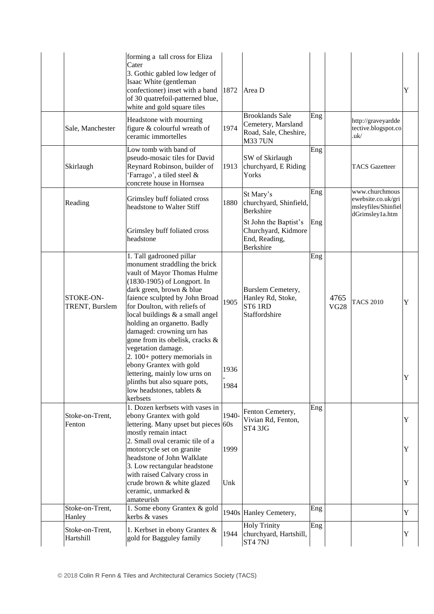|                              | forming a tall cross for Eliza<br>Cater<br>3. Gothic gabled low ledger of<br>Isaac White (gentleman<br>confectioner) inset with a band $ 1872\rangle$<br>of 30 quatrefoil-patterned blue,<br>white and gold square tiles                                                                                                                                                                                                                                                  |              | Area D                                                                                  |     |                     |                                                                                | Y           |
|------------------------------|---------------------------------------------------------------------------------------------------------------------------------------------------------------------------------------------------------------------------------------------------------------------------------------------------------------------------------------------------------------------------------------------------------------------------------------------------------------------------|--------------|-----------------------------------------------------------------------------------------|-----|---------------------|--------------------------------------------------------------------------------|-------------|
| Sale, Manchester             | Headstone with mourning<br>figure & colourful wreath of<br>ceramic immortelles                                                                                                                                                                                                                                                                                                                                                                                            | 1974         | <b>Brooklands Sale</b><br>Cemetery, Marsland<br>Road, Sale, Cheshire,<br><b>M33 7UN</b> | Eng |                     | http://graveyardde<br>tective.blogspot.co<br>.uk/                              |             |
| Skirlaugh                    | Low tomb with band of<br>pseudo-mosaic tiles for David<br>Reynard Robinson, builder of<br>'Farrago', a tiled steel &<br>concrete house in Hornsea                                                                                                                                                                                                                                                                                                                         | 1913         | SW of Skirlaugh<br>churchyard, E Riding<br>Yorks                                        | Eng |                     | <b>TACS</b> Gazetteer                                                          |             |
| Reading                      | Grimsley buff foliated cross<br>headstone to Walter Stiff                                                                                                                                                                                                                                                                                                                                                                                                                 | 1880         | St Mary's<br>churchyard, Shinfield,<br><b>Berkshire</b>                                 | Eng |                     | www.churchmous<br>ewebsite.co.uk/gri<br>msleyfiles/Shinfiel<br>dGrimsley1a.htm |             |
|                              | Grimsley buff foliated cross<br>headstone                                                                                                                                                                                                                                                                                                                                                                                                                                 |              | St John the Baptist's<br>Churchyard, Kidmore<br>End, Reading,<br><b>Berkshire</b>       | Eng |                     |                                                                                |             |
| STOKE-ON-<br>TRENT, Burslem  | 1. Tall gadrooned pillar<br>monument straddling the brick<br>vault of Mayor Thomas Hulme<br>(1830-1905) of Longport. In<br>dark green, brown & blue<br>faience sculpted by John Broad<br>for Doulton, with reliefs of<br>local buildings & a small angel<br>holding an organetto. Badly<br>damaged: crowning urn has<br>gone from its obelisk, cracks &<br>vegetation damage.<br>2. 100+ pottery memorials in<br>ebony Grantex with gold<br>lettering, mainly low urns on | 1905<br>1936 | Burslem Cemetery,<br>Hanley Rd, Stoke,<br>ST6 1RD<br>Staffordshire                      | Eng | 4765<br><b>VG28</b> | <b>TACS 2010</b>                                                               | Y<br>v<br>ı |
|                              | plinths but also square pots,<br>low headstones, tablets &<br>kerbsets                                                                                                                                                                                                                                                                                                                                                                                                    | 1984         |                                                                                         |     |                     |                                                                                |             |
| Stoke-on-Trent,<br>Fenton    | 1. Dozen kerbsets with vases in<br>ebony Grantex with gold<br>lettering. Many upset but pieces 60s<br>mostly remain intact                                                                                                                                                                                                                                                                                                                                                | 1940-        | Fenton Cemetery,<br>Vivian Rd, Fenton,<br>ST4 3JG                                       | Eng |                     |                                                                                | Y           |
|                              | 2. Small oval ceramic tile of a<br>motorcycle set on granite<br>headstone of John Walklate<br>3. Low rectangular headstone                                                                                                                                                                                                                                                                                                                                                | 1999         |                                                                                         |     |                     |                                                                                | Y           |
|                              | with raised Calvary cross in<br>crude brown & white glazed<br>ceramic, unmarked &<br>amateurish                                                                                                                                                                                                                                                                                                                                                                           | Unk          |                                                                                         |     |                     |                                                                                | Y           |
| Stoke-on-Trent,<br>Hanley    | 1. Some ebony Grantex & gold<br>kerbs & vases                                                                                                                                                                                                                                                                                                                                                                                                                             |              | 1940s Hanley Cemetery,                                                                  | Eng |                     |                                                                                | $\mathbf Y$ |
| Stoke-on-Trent,<br>Hartshill | 1. Kerbset in ebony Grantex &<br>gold for Bagguley family                                                                                                                                                                                                                                                                                                                                                                                                                 | 1944         | <b>Holy Trinity</b><br>churchyard, Hartshill,<br>ST47NJ                                 | Eng |                     |                                                                                | Y           |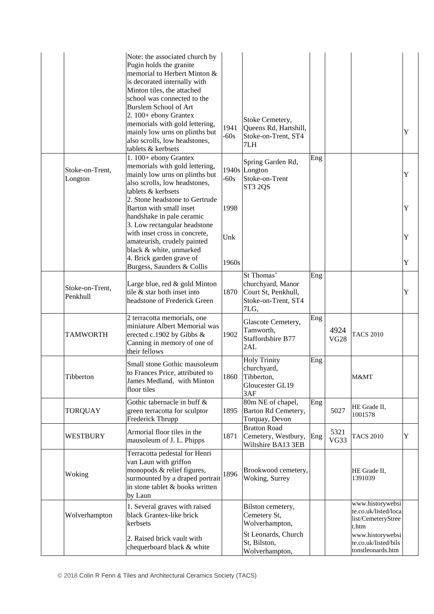|                             | Note: the associated church by<br>Pugin holds the granite<br>memorial to Herbert Minton &<br>is decorated internally with<br>Minton tiles, the attached<br>school was connected to the<br><b>Burslem School of Art</b><br>2. 100+ ebony Grantex<br>memorials with gold lettering,<br>mainly low urns on plinths but<br>also scrolls, low headstones,<br>tablets & kerbsets | 1941<br>$-60s$ | Stoke Cemetery,<br>Queens Rd, Hartshill,<br>Stoke-on-Trent, ST4<br>7LH                |     |                     |                                                                         | Y      |
|-----------------------------|----------------------------------------------------------------------------------------------------------------------------------------------------------------------------------------------------------------------------------------------------------------------------------------------------------------------------------------------------------------------------|----------------|---------------------------------------------------------------------------------------|-----|---------------------|-------------------------------------------------------------------------|--------|
| Stoke-on-Trent,<br>Longton  | 1. 100+ ebony Grantex<br>memorials with gold lettering,<br>mainly low urns on plinths but<br>also scrolls, low headstones,<br>tablets & kerbsets<br>2. Stone headstone to Gertrude                                                                                                                                                                                         | $-60s$         | Spring Garden Rd,<br>1940s Longton<br>Stoke-on-Trent<br>ST3 2QS                       | Eng |                     |                                                                         | Y      |
|                             | Barton with small inset<br>handshake in pale ceramic<br>3. Low rectangular headstone<br>with inset cross in concrete,                                                                                                                                                                                                                                                      | 1998           |                                                                                       |     |                     |                                                                         | Y      |
|                             | amateurish, crudely painted<br>black & white, unmarked<br>4. Brick garden grave of<br>Burgess, Saunders & Collis                                                                                                                                                                                                                                                           | Unk<br>1960s   |                                                                                       |     |                     |                                                                         | Y<br>Y |
| Stoke-on-Trent,<br>Penkhull | Large blue, red & gold Minton<br>tile & star both inset into<br>headstone of Frederick Green                                                                                                                                                                                                                                                                               | 1870           | St Thomas'<br>churchyard, Manor<br>Court St, Penkhull,<br>Stoke-on-Trent, ST4<br>7LG, | Eng |                     |                                                                         | Y      |
| <b>TAMWORTH</b>             | 2 terracotta memorials, one<br>miniature Albert Memorial was<br>erected c.1902 by Gibbs &<br>Canning in memory of one of<br>their fellows                                                                                                                                                                                                                                  | 1902           | Glascote Cemetery,<br>Tamworth,<br>Staffordshire B77<br>2AL                           | Eng | 4924<br><b>VG28</b> | <b>TACS 2010</b>                                                        |        |
| Tibberton                   | Small stone Gothic mausoleum<br>to Frances Price, attributed to<br>James Medland, with Minton<br>floor tiles                                                                                                                                                                                                                                                               |                | <b>Holy Trinity</b><br>churchyard,<br>1860 Tibberton.<br>Gloucester GL19<br>3AF       | Eng |                     | M&MT                                                                    |        |
| <b>TORQUAY</b>              | Gothic tabernacle in buff $\&$<br>green terracotta for sculptor<br>Frederick Thrupp                                                                                                                                                                                                                                                                                        | 1895           | 80m NE of chapel,<br>Barton Rd Cemetery,<br>Torquay, Devon                            | Eng | 5027                | HE Grade II,<br>1001578                                                 |        |
| WESTBURY                    | Armorial floor tiles in the<br>mausoleum of J. L. Phipps                                                                                                                                                                                                                                                                                                                   | 1871           | <b>Bratton Road</b><br>Cemetery, Westbury,<br>Wiltshire BA13 3EB                      | Eng | 5321<br>VG33        | <b>TACS 2010</b>                                                        | Y      |
| Woking                      | Terracotta pedestal for Henri<br>van Laun with griffon<br>monopods & relief figures,<br>surmounted by a draped portrait<br>in stone tablet & books written<br>by Laun                                                                                                                                                                                                      | 1896           | Brookwood cemetery,<br>Woking, Surrey                                                 |     |                     | HE Grade II,<br>1391039                                                 |        |
| Wolverhampton               | 1. Several graves with raised<br>black Grantex-like brick<br>kerbsets                                                                                                                                                                                                                                                                                                      |                | Bilston cemetery,<br>Cemetery St,<br>Wolverhampton,                                   |     |                     | www.historywebsi<br>te.co.uk/listed/loca<br>list/CemeteryStree<br>t.htm |        |
|                             | 2. Raised brick vault with<br>chequerboard black & white                                                                                                                                                                                                                                                                                                                   |                | St Leonards, Church<br>St, Bilston,<br>Wolverhampton,                                 |     |                     | www.historywebsi<br>te.co.uk/listed/bils<br>tonstleonards.htm           |        |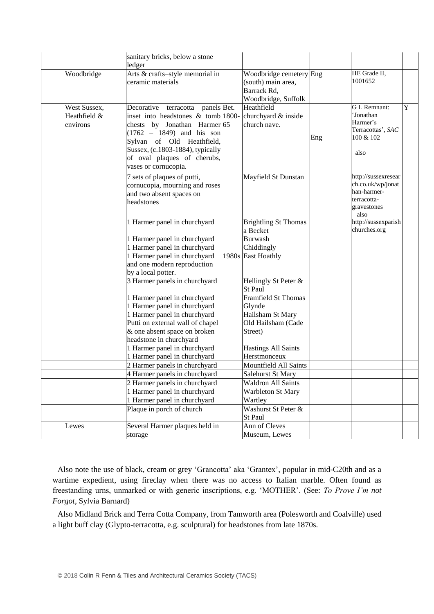|                                          | sanitary bricks, below a stone<br>ledger                                                                                                                                                                                                                          |                                                                                               |     |                                                                                               |   |
|------------------------------------------|-------------------------------------------------------------------------------------------------------------------------------------------------------------------------------------------------------------------------------------------------------------------|-----------------------------------------------------------------------------------------------|-----|-----------------------------------------------------------------------------------------------|---|
| Woodbridge                               | Arts & crafts-style memorial in<br>ceramic materials                                                                                                                                                                                                              | Woodbridge cemetery Eng<br>(south) main area,<br>Barrack Rd,<br>Woodbridge, Suffolk           |     | HE Grade II,<br>1001652                                                                       |   |
| West Sussex,<br>Heathfield &<br>environs | Decorative terracotta panels Bet.<br>inset into headstones $\&$ tomb 1800-<br>chests by Jonathan Harmer 65<br>$(1762 - 1849)$ and his son<br>Sylvan of Old Heathfield,<br>Sussex, (c.1803-1884), typically<br>of oval plaques of cherubs,<br>vases or cornucopia. | Heathfield<br>churchyard & inside<br>church nave.                                             | Eng | <b>GL</b> Remnant:<br>'Jonathan<br>Harmer's<br>Terracottas', SAC<br>100 & 102<br>also         | Y |
|                                          | 7 sets of plaques of putti,<br>cornucopia, mourning and roses<br>and two absent spaces on<br>headstones                                                                                                                                                           | Mayfield St Dunstan                                                                           |     | http://sussexresear<br>ch.co.uk/wp/jonat<br>han-harmer-<br>terracotta-<br>gravestones<br>also |   |
|                                          | 1 Harmer panel in churchyard<br>1 Harmer panel in churchyard<br>1 Harmer panel in churchyard<br>1 Harmer panel in churchyard                                                                                                                                      | <b>Brightling St Thomas</b><br>a Becket<br><b>Burwash</b><br>Chiddingly<br>1980s East Hoathly |     | http://sussexparish<br>churches.org                                                           |   |
|                                          | and one modern reproduction<br>by a local potter.<br>3 Harmer panels in churchyard                                                                                                                                                                                | Hellingly St Peter &<br><b>St Paul</b>                                                        |     |                                                                                               |   |
|                                          | 1 Harmer panel in churchyard<br>1 Harmer panel in churchyard<br>1 Harmer panel in churchyard<br>Putti on external wall of chapel<br>& one absent space on broken                                                                                                  | <b>Framfield St Thomas</b><br>Glynde<br>Hailsham St Mary<br>Old Hailsham (Cade<br>Street)     |     |                                                                                               |   |
|                                          | headstone in churchyard<br>1 Harmer panel in churchyard<br>1 Harmer panel in churchyard                                                                                                                                                                           | <b>Hastings All Saints</b><br>Herstmonceux                                                    |     |                                                                                               |   |
|                                          | 2 Harmer panels in churchyard                                                                                                                                                                                                                                     | Mountfield All Saints                                                                         |     |                                                                                               |   |
|                                          | 4 Harmer panels in churchyard                                                                                                                                                                                                                                     | Salehurst St Mary                                                                             |     |                                                                                               |   |
|                                          | 2 Harmer panels in churchyard                                                                                                                                                                                                                                     | Waldron All Saints<br><b>Warbleton St Mary</b>                                                |     |                                                                                               |   |
|                                          | 1 Harmer panel in churchyard<br>1 Harmer panel in churchyard                                                                                                                                                                                                      |                                                                                               |     |                                                                                               |   |
|                                          | Plaque in porch of church                                                                                                                                                                                                                                         | Wartley<br>Washurst St Peter &                                                                |     |                                                                                               |   |
|                                          |                                                                                                                                                                                                                                                                   | St Paul                                                                                       |     |                                                                                               |   |
| Lewes                                    | Several Harmer plaques held in<br>storage                                                                                                                                                                                                                         | Ann of Cleves<br>Museum, Lewes                                                                |     |                                                                                               |   |

Also note the use of black, cream or grey 'Grancotta' aka 'Grantex', popular in mid-C20th and as a wartime expedient, using fireclay when there was no access to Italian marble. Often found as freestanding urns, unmarked or with generic inscriptions, e.g. 'MOTHER'. (See: *To Prove I'm not Forgot*, Sylvia Barnard)

Also Midland Brick and Terra Cotta Company, from Tamworth area (Polesworth and Coalville) used a light buff clay (Glypto-terracotta, e.g. sculptural) for headstones from late 1870s.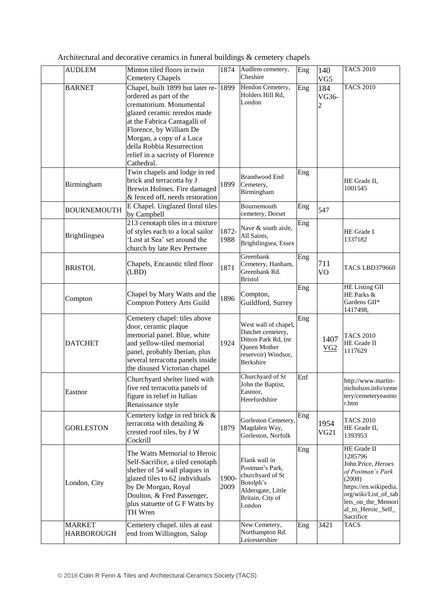| <b>AUDLEM</b>                      | Minton tiled floors in twin<br><b>Cemetery Chapels</b>                                                                                                                                                                                                                                     | 1874          | Audlem cemetery,<br>Cheshire                                                                                          | Eng | 140<br>VG5        | <b>TACS 2010</b>                                                                                                                                                                      |
|------------------------------------|--------------------------------------------------------------------------------------------------------------------------------------------------------------------------------------------------------------------------------------------------------------------------------------------|---------------|-----------------------------------------------------------------------------------------------------------------------|-----|-------------------|---------------------------------------------------------------------------------------------------------------------------------------------------------------------------------------|
| <b>BARNET</b>                      | Chapel, built 1899 but later re-<br>ordered as part of the<br>crematorium. Monumental<br>glazed ceramic reredos made<br>at the Fabrica Cantagalli of<br>Florence, by William De<br>Morgan, a copy of a Luca<br>della Robbia Resurrection<br>relief in a sacristy of Florence<br>Cathedral. | 1899          | Hendon Cemetery,<br>Holders Hill Rd,<br>London                                                                        | Eng | 184<br>VG36-<br>2 | <b>TACS 2010</b>                                                                                                                                                                      |
| Birmingham                         | Twin chapels and lodge in red<br>brick and terracotta by J<br>Brewin Holmes. Fire damaged<br>& fenced off, needs restoration                                                                                                                                                               | 1899          | Brandwood End<br>Cemetery,<br>Birmingham                                                                              | Eng |                   | HE Grade II,<br>1001545                                                                                                                                                               |
| <b>BOURNEMOUTH</b>                 | E Chapel. Unglazed floral tiles<br>by Campbell                                                                                                                                                                                                                                             |               | Bournemouth<br>cemetery, Dorset                                                                                       | Eng | 547               |                                                                                                                                                                                       |
| Brightlingsea                      | 213 cenotaph tiles in a mixture<br>of styles each to a local sailor<br>'Lost at Sea' set around the<br>church by late Rev Pertwee                                                                                                                                                          | 1872-<br>1988 | Nave & south aisle,<br>All Saints,<br>Brightlingsea, Essex                                                            | Eng |                   | HE Grade I<br>1337182                                                                                                                                                                 |
| <b>BRISTOL</b>                     | Chapels, Encaustic tiled floor<br>(LBD)                                                                                                                                                                                                                                                    | 1871          | Greenbank<br>Cemetery, Hanham,<br>Greenbank Rd.<br><b>Bristol</b>                                                     | Eng | 711<br>VO         | <b>TACS LBD379660</b>                                                                                                                                                                 |
| Compton                            | Chapel by Mary Watts and the<br>Compton Pottery Arts Guild                                                                                                                                                                                                                                 | 1896          | Compton,<br>Guildford, Surrey                                                                                         | Eng |                   | HE Listing GII<br>HE Parks &<br>Gardens GII*<br>1417498,                                                                                                                              |
| <b>DATCHET</b>                     | Cemetery chapel: tiles above<br>door, ceramic plaque<br>memorial panel. Blue, white<br>and yellow-tiled memorial<br>panel, probably Iberian, plus<br>several terracotta panels inside<br>the disused Victorian chapel                                                                      | 1924          | West wall of chapel,<br>Datchet cemetery,<br>Ditton Park Rd, (nr<br>Queen Mother<br>reservoir) Windsor,<br>Berkshire  | Eng | 1407<br>VG2       | <b>TACS 2010</b><br>HE Grade II<br>1117629                                                                                                                                            |
| Eastnor                            | Churchyard shelter lined with<br>five red terracotta panels of<br>figure in relief in Italian<br>Renaissance style                                                                                                                                                                         |               | Churchyard of St<br>John the Baptist,<br>Eastnor,<br>Herefordshire                                                    | Enf |                   | http://www.martin-<br>nicholson.info/ceme<br>tery/cemeteryeastno<br>r.htm                                                                                                             |
| <b>GORLESTON</b>                   | Cemetery lodge in red brick &<br>terracotta with detailing $\&$<br>crested roof tiles, by J W<br>Cockrill                                                                                                                                                                                  | 1879          | Gorleston Cemetery,<br>Magdalen Way,<br>Gorleston, Norfolk                                                            | Eng | 1954<br>VG21      | <b>TACS 2010</b><br>HE Grade II,<br>1393953                                                                                                                                           |
| London, City                       | The Watts Memorial to Heroic<br>Self-Sacrifice, a tiled cenotaph<br>shelter of 54 wall plaques in<br>glazed tiles to 62 individuals<br>by De Morgan, Royal<br>Doulton, & Fred Passenger,<br>plus statuette of G F Watts by<br>TH Wren                                                      | 1900-<br>2009 | Flank wall in<br>Postman's Park,<br>churchyard of St<br>Botolph's<br>Aldersgate, Little<br>Britain, City of<br>London | Eng |                   | HE Grade II<br>1285796<br>John Price, Heroes<br>of Postman's Park<br>(2008)<br>https://en.wikipedia.<br>org/wiki/List_of_tab<br>lets_on_the_Memori<br>al_to_Heroic_Self_<br>Sacrifice |
| <b>MARKET</b><br><b>HARBOROUGH</b> | Cemetery chapel. tiles at east<br>end from Willington, Salop                                                                                                                                                                                                                               |               | New Cemetery,<br>Northampton Rd.<br>Leicestershire                                                                    | Eng | 3421              | <b>TACS</b>                                                                                                                                                                           |

Architectural and decorative ceramics in funeral buildings & cemetery chapels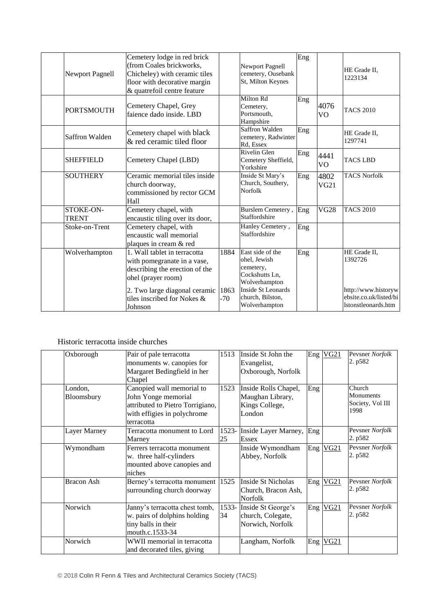| Newport Pagnell           | Cemetery lodge in red brick<br>(from Coales brickworks,<br>Chicheley) with ceramic tiles<br>floor with decorative margin<br>& quatrefoil centre feature                                        |                       | <b>Newport Pagnell</b><br>cemetery, Ousebank<br>St, Milton Keynes                                                                           | Eng |                        | HE Grade II,<br>1223134                                                                         |
|---------------------------|------------------------------------------------------------------------------------------------------------------------------------------------------------------------------------------------|-----------------------|---------------------------------------------------------------------------------------------------------------------------------------------|-----|------------------------|-------------------------------------------------------------------------------------------------|
| <b>PORTSMOUTH</b>         | Cemetery Chapel, Grey<br>faience dado inside. LBD                                                                                                                                              |                       | Milton Rd<br>Cemetery,<br>Portsmouth,<br>Hampshire                                                                                          | Eng | 4076<br>V <sub>O</sub> | <b>TACS 2010</b>                                                                                |
| Saffron Walden            | Cemetery chapel with black<br>& red ceramic tiled floor                                                                                                                                        |                       | Saffron Walden<br>cemetery, Radwinter<br>Rd, Essex                                                                                          | Eng |                        | HE Grade II,<br>1297741                                                                         |
| <b>SHEFFIELD</b>          | Cemetery Chapel (LBD)                                                                                                                                                                          |                       | Rivelin Glen<br>Cemetery Sheffield,<br>Yorkshire                                                                                            | Eng | 4441<br>V <sub>O</sub> | <b>TACS LBD</b>                                                                                 |
| <b>SOUTHERY</b>           | Ceramic memorial tiles inside<br>church doorway,<br>commissioned by rector GCM<br>Hall                                                                                                         |                       | Inside St Mary's<br>Church, Southery,<br>Norfolk                                                                                            | Eng | 4802<br>VG21           | <b>TACS Norfolk</b>                                                                             |
| STOKE-ON-<br><b>TRENT</b> | Cemetery chapel, with<br>encaustic tiling over its door,                                                                                                                                       |                       | Burslem Cemetery,<br>Staffordshire                                                                                                          | Eng | <b>VG28</b>            | <b>TACS 2010</b>                                                                                |
| Stoke-on-Trent            | Cemetery chapel, with<br>encaustic wall memorial<br>plaques in cream & red                                                                                                                     |                       | Hanley Cemetery,<br>Staffordshire                                                                                                           | Eng |                        |                                                                                                 |
| Wolverhampton             | 1. Wall tablet in terracotta<br>with pomegranate in a vase,<br>describing the erection of the<br>ohel (prayer room)<br>2. Two large diagonal ceramic<br>tiles inscribed for Nokes &<br>Johnson | 1884<br>1863<br>$-70$ | East side of the<br>ohel, Jewish<br>cemetery,<br>Cockshutts Ln,<br>Wolverhampton<br>Inside St Leonards<br>church, Bilston,<br>Wolverhampton | Eng |                        | HE Grade II,<br>1392726<br>http://www.historyw<br>ebsite.co.uk/listed/bi<br>Istonstleonards.htm |

## Historic terracotta inside churches

| Oxborough         | Pair of pale terracotta           | 1513  | Inside St John the   |     | Eng VG21     | Pevsner Norfolk  |
|-------------------|-----------------------------------|-------|----------------------|-----|--------------|------------------|
|                   | monuments w. canopies for         |       | Evangelist,          |     |              | 2. p582          |
|                   | Margaret Bedingfield in her       |       | Oxborough, Norfolk   |     |              |                  |
|                   | Chapel                            |       |                      |     |              |                  |
| London,           | Canopied wall memorial to         | 1523  | Inside Rolls Chapel, | Eng |              | Church           |
| Bloomsbury        | John Yonge memorial               |       | Maughan Library,     |     |              | Monuments        |
|                   | attributed to Pietro Torrigiano,  |       | Kings College,       |     |              | Society, Vol III |
|                   | with effigies in polychrome       |       | London               |     |              | 1998             |
|                   | terracotta                        |       |                      |     |              |                  |
| Layer Marney      | Terracotta monument to Lord       | 1523- | Inside Layer Marney, | Eng |              | Peysner Norfolk  |
|                   | Marney                            | 25    | <b>Essex</b>         |     |              | 2. p582          |
| Wymondham         | Ferrers terracotta monument       |       | Inside Wymondham     |     | $Eng$ VG21   | Pevsner Norfolk  |
|                   | w. three half-cylinders           |       | Abbey, Norfolk       |     |              | 2. p582          |
|                   | mounted above canopies and        |       |                      |     |              |                  |
|                   | niches                            |       |                      |     |              |                  |
| <b>Bracon Ash</b> | Berney's terracotta monument 1525 |       | Inside St Nicholas   |     | Eng VG21     | Peysner Norfolk  |
|                   | surrounding church doorway        |       | Church, Bracon Ash,  |     |              | 2. p582          |
|                   |                                   |       | <b>Norfolk</b>       |     |              |                  |
| Norwich           | Janny's terracotta chest tomb,    | 1533- | Inside St George's   |     | Eng VG21     | Pevsner Norfolk  |
|                   | w. pairs of dolphins holding      | 34    | church, Colegate,    |     |              | 2. p582          |
|                   | tiny balls in their               |       | Norwich, Norfolk     |     |              |                  |
|                   | mouth.c.1533-34                   |       |                      |     |              |                  |
| Norwich           | WWII memorial in terracotta       |       | Langham, Norfolk     |     | $Eng$ $VG21$ |                  |
|                   | and decorated tiles, giving       |       |                      |     |              |                  |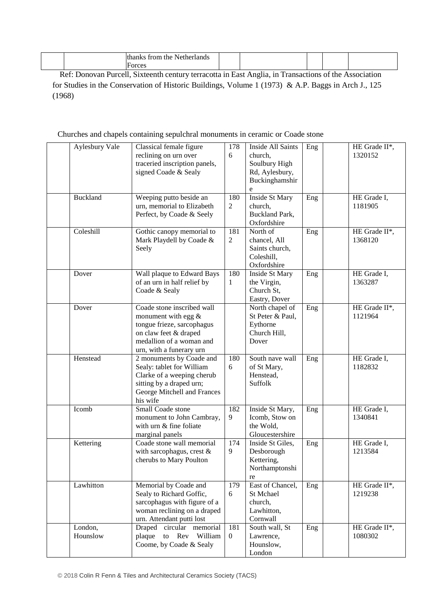|  | th.<br>trom<br>the<br>Netr<br>riands<br>ner<br>. . |  |  |  |
|--|----------------------------------------------------|--|--|--|
|  | F0<br>$\alpha$ r $\alpha$<br>w<br>.                |  |  |  |

Ref: Donovan Purcell, Sixteenth century terracotta in East Anglia, in Transactions of the Association for Studies in the Conservation of Historic Buildings, Volume 1 (1973) & A.P. Baggs in Arch J., 125 (1968)

#### Churches and chapels containing sepulchral monuments in ceramic or Coade stone

| <b>Aylesbury Vale</b> | Classical female figure<br>reclining on urn over<br>traceried inscription panels,<br>signed Coade & Sealy                                                           | 178<br>6              | <b>Inside All Saints</b><br>church,<br>Soulbury High<br>Rd, Aylesbury,<br>Buckinghamshir<br>e | Eng | HE Grade II*,<br>1320152 |
|-----------------------|---------------------------------------------------------------------------------------------------------------------------------------------------------------------|-----------------------|-----------------------------------------------------------------------------------------------|-----|--------------------------|
| Buckland              | Weeping putto beside an<br>urn, memorial to Elizabeth<br>Perfect, by Coade & Seely                                                                                  | 180<br>$\overline{2}$ | Inside St Mary<br>church,<br><b>Buckland Park,</b><br>Oxfordshire                             | Eng | HE Grade I,<br>1181905   |
| Coleshill             | Gothic canopy memorial to<br>Mark Playdell by Coade &<br>Seely                                                                                                      | 181<br>$\overline{2}$ | North of<br>chancel, All<br>Saints church,<br>Coleshill,<br>Oxfordshire                       | Eng | HE Grade II*,<br>1368120 |
| Dover                 | Wall plaque to Edward Bays<br>of an urn in half relief by<br>Coade & Sealy                                                                                          | 180<br>1              | Inside St Mary<br>the Virgin,<br>Church St,<br>Eastry, Dover                                  | Eng | HE Grade I,<br>1363287   |
| Dover                 | Coade stone inscribed wall<br>monument with egg $\&$<br>tongue frieze, sarcophagus<br>on claw feet & draped<br>medallion of a woman and<br>urn, with a funerary urn |                       | North chapel of<br>St Peter & Paul,<br>Eythorne<br>Church Hill,<br>Dover                      | Eng | HE Grade II*,<br>1121964 |
| Henstead              | 2 monuments by Coade and<br>Sealy: tablet for William<br>Clarke of a weeping cherub<br>sitting by a draped urn;<br>George Mitchell and Frances<br>his wife          | 180<br>6              | South nave wall<br>of St Mary,<br>Henstead,<br>Suffolk                                        | Eng | HE Grade I,<br>1182832   |
| Icomb                 | Small Coade stone<br>monument to John Cambray,<br>with urn & fine foliate<br>marginal panels                                                                        | 182<br>9              | Inside St Mary,<br>Icomb, Stow on<br>the Wold,<br>Gloucestershire                             | Eng | HE Grade I,<br>1340841   |
| Kettering             | Coade stone wall memorial<br>with sarcophagus, crest &<br>cherubs to Mary Poulton                                                                                   | 174<br>9              | Inside St Giles,<br>Desborough<br>Kettering,<br>Northamptonshi<br>re                          | Eng | HE Grade I,<br>1213584   |
| Lawhitton             | Memorial by Coade and<br>Sealy to Richard Goffic,<br>sarcophagus with figure of a<br>woman reclining on a draped<br>urn. Attendant putti lost                       | 179<br>6              | East of Chancel,<br>St Mchael<br>church,<br>Lawhitton,<br>Cornwall                            | Eng | HE Grade II*,<br>1219238 |
| London,<br>Hounslow   | Draped circular memorial<br>to Rev William<br>plaque<br>Coome, by Coade & Sealy                                                                                     | 181<br>$\mathbf{0}$   | South wall, St<br>Lawrence,<br>Hounslow,<br>London                                            | Eng | HE Grade II*,<br>1080302 |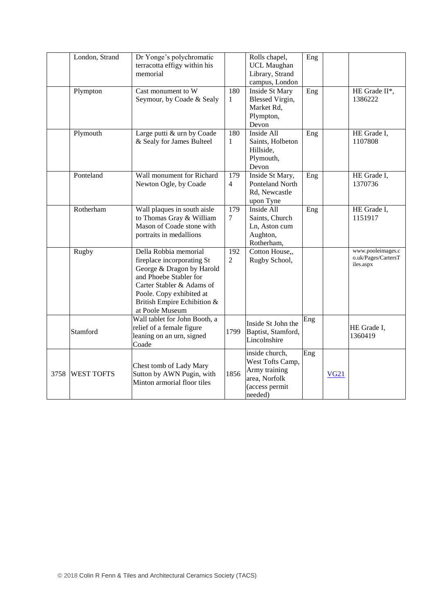|      | London, Strand    | Dr Yonge's polychromatic<br>terracotta effigy within his<br>memorial                                                                                                                                                  |                       | Rolls chapel,<br><b>UCL Maughan</b><br>Library, Strand<br>campus, London                          | Eng |             |                                                       |
|------|-------------------|-----------------------------------------------------------------------------------------------------------------------------------------------------------------------------------------------------------------------|-----------------------|---------------------------------------------------------------------------------------------------|-----|-------------|-------------------------------------------------------|
|      | Plympton          | Cast monument to W<br>Seymour, by Coade & Sealy                                                                                                                                                                       | 180<br>$\mathbf{1}$   | <b>Inside St Mary</b><br>Blessed Virgin,<br>Market Rd,<br>Plympton,<br>Devon                      | Eng |             | HE Grade II*,<br>1386222                              |
|      | Plymouth          | Large putti & urn by Coade<br>& Sealy for James Bulteel                                                                                                                                                               | 180<br>$\mathbf{1}$   | Inside All<br>Saints, Holbeton<br>Hillside,<br>Plymouth,<br>Devon                                 | Eng |             | HE Grade I,<br>1107808                                |
|      | Ponteland         | Wall monument for Richard<br>Newton Ogle, by Coade                                                                                                                                                                    | 179<br>$\overline{4}$ | Inside St Mary,<br>Ponteland North<br>Rd, Newcastle<br>upon Tyne                                  | Eng |             | HE Grade I,<br>1370736                                |
|      | Rotherham         | Wall plaques in south aisle<br>to Thomas Gray & William<br>Mason of Coade stone with<br>portraits in medallions                                                                                                       | 179<br>$\tau$         | Inside All<br>Saints, Church<br>Ln, Aston cum<br>Aughton,<br>Rotherham,                           | Eng |             | HE Grade I,<br>1151917                                |
|      | Rugby             | Della Robbia memorial<br>fireplace incorporating St<br>George & Dragon by Harold<br>and Phoebe Stabler for<br>Carter Stabler & Adams of<br>Poole. Copy exhibited at<br>British Empire Echibition &<br>at Poole Museum | 192<br>$\overline{2}$ | Cotton House,,<br>Rugby School,                                                                   |     |             | www.pooleimages.c<br>o.uk/Pages/CartersT<br>iles.aspx |
|      | Stamford          | Wall tablet for John Booth, a<br>relief of a female figure<br>leaning on an urn, signed<br>Coade                                                                                                                      | 1799                  | Inside St John the<br>Baptist, Stamford,<br>Lincolnshire                                          | Eng |             | HE Grade I,<br>1360419                                |
| 3758 | <b>WEST TOFTS</b> | Chest tomb of Lady Mary<br>Sutton by AWN Pugin, with<br>Minton armorial floor tiles                                                                                                                                   | 1856                  | inside church,<br>West Tofts Camp,<br>Army training<br>area, Norfolk<br>(access permit<br>needed) | Eng | <b>VG21</b> |                                                       |